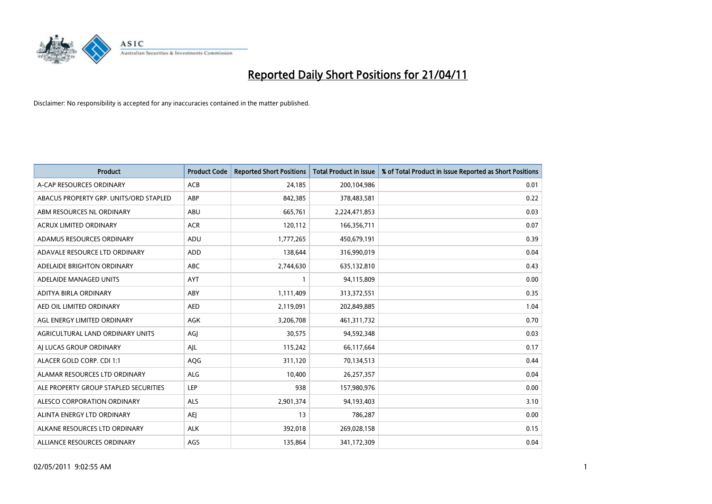

| <b>Product</b>                         | <b>Product Code</b> | <b>Reported Short Positions</b> | Total Product in Issue | % of Total Product in Issue Reported as Short Positions |
|----------------------------------------|---------------------|---------------------------------|------------------------|---------------------------------------------------------|
| A-CAP RESOURCES ORDINARY               | <b>ACB</b>          | 24,185                          | 200,104,986            | 0.01                                                    |
| ABACUS PROPERTY GRP. UNITS/ORD STAPLED | ABP                 | 842,385                         | 378,483,581            | 0.22                                                    |
| ABM RESOURCES NL ORDINARY              | ABU                 | 665,761                         | 2,224,471,853          | 0.03                                                    |
| ACRUX LIMITED ORDINARY                 | <b>ACR</b>          | 120,112                         | 166,356,711            | 0.07                                                    |
| ADAMUS RESOURCES ORDINARY              | ADU                 | 1,777,265                       | 450,679,191            | 0.39                                                    |
| ADAVALE RESOURCE LTD ORDINARY          | <b>ADD</b>          | 138,644                         | 316,990,019            | 0.04                                                    |
| ADELAIDE BRIGHTON ORDINARY             | <b>ABC</b>          | 2,744,630                       | 635,132,810            | 0.43                                                    |
| ADELAIDE MANAGED UNITS                 | <b>AYT</b>          |                                 | 94,115,809             | 0.00                                                    |
| ADITYA BIRLA ORDINARY                  | ABY                 | 1,111,409                       | 313,372,551            | 0.35                                                    |
| AED OIL LIMITED ORDINARY               | <b>AED</b>          | 2,119,091                       | 202,849,885            | 1.04                                                    |
| AGL ENERGY LIMITED ORDINARY            | AGK                 | 3,206,708                       | 461,311,732            | 0.70                                                    |
| AGRICULTURAL LAND ORDINARY UNITS       | AGJ                 | 30,575                          | 94,592,348             | 0.03                                                    |
| AI LUCAS GROUP ORDINARY                | AJL                 | 115,242                         | 66,117,664             | 0.17                                                    |
| ALACER GOLD CORP. CDI 1:1              | AQG                 | 311,120                         | 70,134,513             | 0.44                                                    |
| ALAMAR RESOURCES LTD ORDINARY          | <b>ALG</b>          | 10,400                          | 26,257,357             | 0.04                                                    |
| ALE PROPERTY GROUP STAPLED SECURITIES  | <b>LEP</b>          | 938                             | 157,980,976            | 0.00                                                    |
| ALESCO CORPORATION ORDINARY            | ALS                 | 2,901,374                       | 94,193,403             | 3.10                                                    |
| ALINTA ENERGY LTD ORDINARY             | <b>AEI</b>          | 13                              | 786,287                | 0.00                                                    |
| ALKANE RESOURCES LTD ORDINARY          | <b>ALK</b>          | 392,018                         | 269,028,158            | 0.15                                                    |
| ALLIANCE RESOURCES ORDINARY            | AGS                 | 135,864                         | 341,172,309            | 0.04                                                    |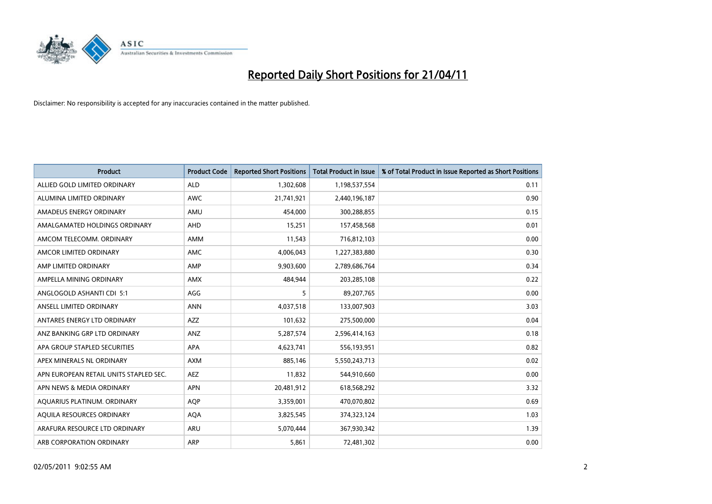

| <b>Product</b>                         | <b>Product Code</b> | <b>Reported Short Positions</b> | <b>Total Product in Issue</b> | % of Total Product in Issue Reported as Short Positions |
|----------------------------------------|---------------------|---------------------------------|-------------------------------|---------------------------------------------------------|
| ALLIED GOLD LIMITED ORDINARY           | <b>ALD</b>          | 1,302,608                       | 1,198,537,554                 | 0.11                                                    |
| ALUMINA LIMITED ORDINARY               | <b>AWC</b>          | 21,741,921                      | 2,440,196,187                 | 0.90                                                    |
| AMADEUS ENERGY ORDINARY                | AMU                 | 454,000                         | 300,288,855                   | 0.15                                                    |
| AMALGAMATED HOLDINGS ORDINARY          | AHD                 | 15,251                          | 157,458,568                   | 0.01                                                    |
| AMCOM TELECOMM, ORDINARY               | <b>AMM</b>          | 11,543                          | 716,812,103                   | 0.00                                                    |
| AMCOR LIMITED ORDINARY                 | <b>AMC</b>          | 4,006,043                       | 1,227,383,880                 | 0.30                                                    |
| AMP LIMITED ORDINARY                   | AMP                 | 9,903,600                       | 2,789,686,764                 | 0.34                                                    |
| AMPELLA MINING ORDINARY                | <b>AMX</b>          | 484,944                         | 203,285,108                   | 0.22                                                    |
| ANGLOGOLD ASHANTI CDI 5:1              | AGG                 | 5                               | 89,207,765                    | 0.00                                                    |
| ANSELL LIMITED ORDINARY                | <b>ANN</b>          | 4,037,518                       | 133,007,903                   | 3.03                                                    |
| ANTARES ENERGY LTD ORDINARY            | <b>AZZ</b>          | 101,632                         | 275,500,000                   | 0.04                                                    |
| ANZ BANKING GRP LTD ORDINARY           | ANZ                 | 5,287,574                       | 2,596,414,163                 | 0.18                                                    |
| APA GROUP STAPLED SECURITIES           | <b>APA</b>          | 4,623,741                       | 556,193,951                   | 0.82                                                    |
| APEX MINERALS NL ORDINARY              | <b>AXM</b>          | 885.146                         | 5,550,243,713                 | 0.02                                                    |
| APN EUROPEAN RETAIL UNITS STAPLED SEC. | <b>AEZ</b>          | 11,832                          | 544,910,660                   | 0.00                                                    |
| APN NEWS & MEDIA ORDINARY              | <b>APN</b>          | 20,481,912                      | 618,568,292                   | 3.32                                                    |
| AQUARIUS PLATINUM. ORDINARY            | <b>AOP</b>          | 3,359,001                       | 470,070,802                   | 0.69                                                    |
| AQUILA RESOURCES ORDINARY              | <b>AQA</b>          | 3,825,545                       | 374,323,124                   | 1.03                                                    |
| ARAFURA RESOURCE LTD ORDINARY          | ARU                 | 5,070,444                       | 367,930,342                   | 1.39                                                    |
| ARB CORPORATION ORDINARY               | ARP                 | 5,861                           | 72,481,302                    | 0.00                                                    |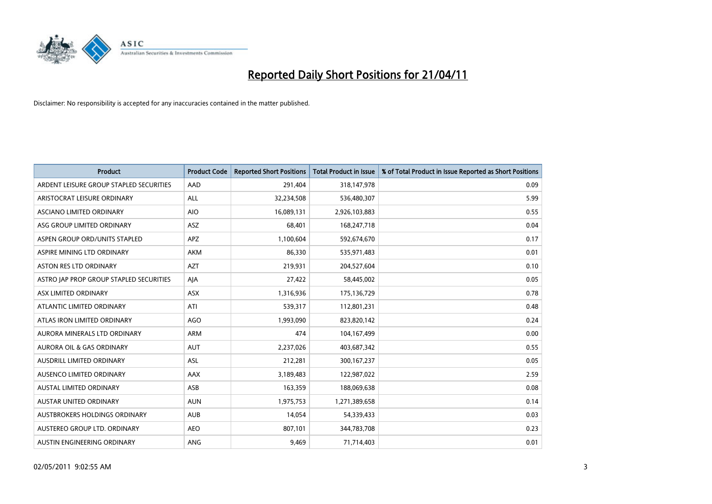

| <b>Product</b>                          | <b>Product Code</b> | <b>Reported Short Positions</b> | <b>Total Product in Issue</b> | % of Total Product in Issue Reported as Short Positions |
|-----------------------------------------|---------------------|---------------------------------|-------------------------------|---------------------------------------------------------|
| ARDENT LEISURE GROUP STAPLED SECURITIES | AAD                 | 291,404                         | 318,147,978                   | 0.09                                                    |
| ARISTOCRAT LEISURE ORDINARY             | <b>ALL</b>          | 32,234,508                      | 536,480,307                   | 5.99                                                    |
| ASCIANO LIMITED ORDINARY                | <b>AIO</b>          | 16,089,131                      | 2,926,103,883                 | 0.55                                                    |
| ASG GROUP LIMITED ORDINARY              | ASZ                 | 68,401                          | 168,247,718                   | 0.04                                                    |
| ASPEN GROUP ORD/UNITS STAPLED           | <b>APZ</b>          | 1,100,604                       | 592,674,670                   | 0.17                                                    |
| ASPIRE MINING LTD ORDINARY              | <b>AKM</b>          | 86,330                          | 535,971,483                   | 0.01                                                    |
| <b>ASTON RES LTD ORDINARY</b>           | <b>AZT</b>          | 219,931                         | 204,527,604                   | 0.10                                                    |
| ASTRO JAP PROP GROUP STAPLED SECURITIES | AJA                 | 27,422                          | 58,445,002                    | 0.05                                                    |
| ASX LIMITED ORDINARY                    | <b>ASX</b>          | 1,316,936                       | 175,136,729                   | 0.78                                                    |
| ATLANTIC LIMITED ORDINARY               | ATI                 | 539,317                         | 112,801,231                   | 0.48                                                    |
| ATLAS IRON LIMITED ORDINARY             | <b>AGO</b>          | 1,993,090                       | 823,820,142                   | 0.24                                                    |
| AURORA MINERALS LTD ORDINARY            | <b>ARM</b>          | 474                             | 104,167,499                   | 0.00                                                    |
| <b>AURORA OIL &amp; GAS ORDINARY</b>    | <b>AUT</b>          | 2,237,026                       | 403,687,342                   | 0.55                                                    |
| <b>AUSDRILL LIMITED ORDINARY</b>        | <b>ASL</b>          | 212,281                         | 300,167,237                   | 0.05                                                    |
| AUSENCO LIMITED ORDINARY                | AAX                 | 3,189,483                       | 122,987,022                   | 2.59                                                    |
| <b>AUSTAL LIMITED ORDINARY</b>          | ASB                 | 163,359                         | 188,069,638                   | 0.08                                                    |
| <b>AUSTAR UNITED ORDINARY</b>           | <b>AUN</b>          | 1,975,753                       | 1,271,389,658                 | 0.14                                                    |
| AUSTBROKERS HOLDINGS ORDINARY           | <b>AUB</b>          | 14,054                          | 54,339,433                    | 0.03                                                    |
| AUSTEREO GROUP LTD. ORDINARY            | <b>AEO</b>          | 807,101                         | 344,783,708                   | 0.23                                                    |
| AUSTIN ENGINEERING ORDINARY             | ANG                 | 9,469                           | 71,714,403                    | 0.01                                                    |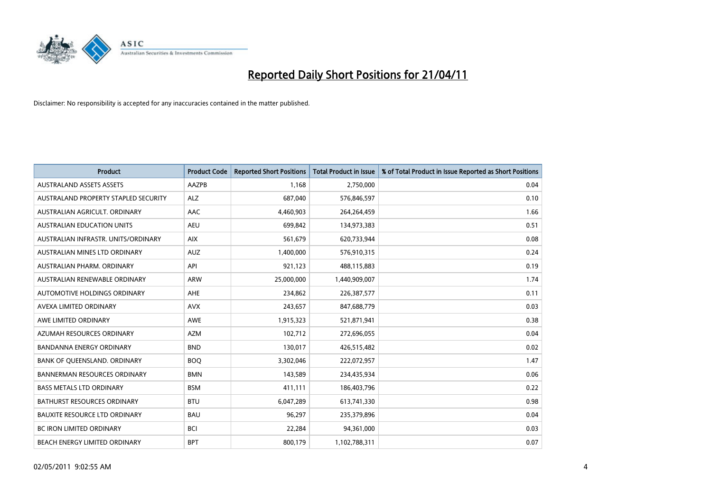

| <b>Product</b>                       | <b>Product Code</b> | <b>Reported Short Positions</b> | <b>Total Product in Issue</b> | % of Total Product in Issue Reported as Short Positions |
|--------------------------------------|---------------------|---------------------------------|-------------------------------|---------------------------------------------------------|
| <b>AUSTRALAND ASSETS ASSETS</b>      | AAZPB               | 1.168                           | 2,750,000                     | 0.04                                                    |
| AUSTRALAND PROPERTY STAPLED SECURITY | <b>ALZ</b>          | 687,040                         | 576,846,597                   | 0.10                                                    |
| AUSTRALIAN AGRICULT, ORDINARY        | AAC                 | 4,460,903                       | 264,264,459                   | 1.66                                                    |
| AUSTRALIAN EDUCATION UNITS           | <b>AEU</b>          | 699,842                         | 134,973,383                   | 0.51                                                    |
| AUSTRALIAN INFRASTR, UNITS/ORDINARY  | <b>AIX</b>          | 561,679                         | 620,733,944                   | 0.08                                                    |
| AUSTRALIAN MINES LTD ORDINARY        | <b>AUZ</b>          | 1,400,000                       | 576,910,315                   | 0.24                                                    |
| AUSTRALIAN PHARM, ORDINARY           | API                 | 921,123                         | 488,115,883                   | 0.19                                                    |
| AUSTRALIAN RENEWABLE ORDINARY        | <b>ARW</b>          | 25,000,000                      | 1,440,909,007                 | 1.74                                                    |
| AUTOMOTIVE HOLDINGS ORDINARY         | <b>AHE</b>          | 234,862                         | 226,387,577                   | 0.11                                                    |
| AVEXA LIMITED ORDINARY               | <b>AVX</b>          | 243,657                         | 847,688,779                   | 0.03                                                    |
| AWE LIMITED ORDINARY                 | <b>AWE</b>          | 1,915,323                       | 521,871,941                   | 0.38                                                    |
| AZUMAH RESOURCES ORDINARY            | <b>AZM</b>          | 102,712                         | 272,696,055                   | 0.04                                                    |
| <b>BANDANNA ENERGY ORDINARY</b>      | <b>BND</b>          | 130,017                         | 426,515,482                   | 0.02                                                    |
| BANK OF QUEENSLAND. ORDINARY         | <b>BOO</b>          | 3,302,046                       | 222,072,957                   | 1.47                                                    |
| <b>BANNERMAN RESOURCES ORDINARY</b>  | <b>BMN</b>          | 143,589                         | 234,435,934                   | 0.06                                                    |
| <b>BASS METALS LTD ORDINARY</b>      | <b>BSM</b>          | 411,111                         | 186,403,796                   | 0.22                                                    |
| BATHURST RESOURCES ORDINARY          | <b>BTU</b>          | 6,047,289                       | 613,741,330                   | 0.98                                                    |
| <b>BAUXITE RESOURCE LTD ORDINARY</b> | <b>BAU</b>          | 96,297                          | 235,379,896                   | 0.04                                                    |
| BC IRON LIMITED ORDINARY             | <b>BCI</b>          | 22,284                          | 94,361,000                    | 0.03                                                    |
| BEACH ENERGY LIMITED ORDINARY        | <b>BPT</b>          | 800,179                         | 1,102,788,311                 | 0.07                                                    |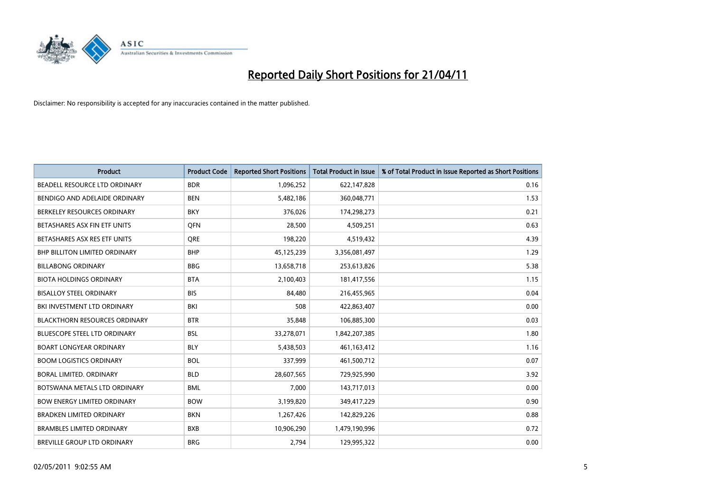

| <b>Product</b>                       | <b>Product Code</b> | <b>Reported Short Positions</b> | <b>Total Product in Issue</b> | % of Total Product in Issue Reported as Short Positions |
|--------------------------------------|---------------------|---------------------------------|-------------------------------|---------------------------------------------------------|
| BEADELL RESOURCE LTD ORDINARY        | <b>BDR</b>          | 1,096,252                       | 622,147,828                   | 0.16                                                    |
| BENDIGO AND ADELAIDE ORDINARY        | <b>BEN</b>          | 5,482,186                       | 360,048,771                   | 1.53                                                    |
| BERKELEY RESOURCES ORDINARY          | <b>BKY</b>          | 376,026                         | 174,298,273                   | 0.21                                                    |
| BETASHARES ASX FIN ETF UNITS         | <b>OFN</b>          | 28,500                          | 4,509,251                     | 0.63                                                    |
| BETASHARES ASX RES ETF UNITS         | <b>ORE</b>          | 198,220                         | 4,519,432                     | 4.39                                                    |
| <b>BHP BILLITON LIMITED ORDINARY</b> | <b>BHP</b>          | 45,125,239                      | 3,356,081,497                 | 1.29                                                    |
| <b>BILLABONG ORDINARY</b>            | <b>BBG</b>          | 13,658,718                      | 253,613,826                   | 5.38                                                    |
| <b>BIOTA HOLDINGS ORDINARY</b>       | <b>BTA</b>          | 2,100,403                       | 181,417,556                   | 1.15                                                    |
| <b>BISALLOY STEEL ORDINARY</b>       | <b>BIS</b>          | 84,480                          | 216,455,965                   | 0.04                                                    |
| BKI INVESTMENT LTD ORDINARY          | BKI                 | 508                             | 422,863,407                   | 0.00                                                    |
| <b>BLACKTHORN RESOURCES ORDINARY</b> | <b>BTR</b>          | 35,848                          | 106,885,300                   | 0.03                                                    |
| <b>BLUESCOPE STEEL LTD ORDINARY</b>  | <b>BSL</b>          | 33,278,071                      | 1,842,207,385                 | 1.80                                                    |
| <b>BOART LONGYEAR ORDINARY</b>       | <b>BLY</b>          | 5,438,503                       | 461, 163, 412                 | 1.16                                                    |
| <b>BOOM LOGISTICS ORDINARY</b>       | <b>BOL</b>          | 337,999                         | 461,500,712                   | 0.07                                                    |
| BORAL LIMITED, ORDINARY              | <b>BLD</b>          | 28,607,565                      | 729,925,990                   | 3.92                                                    |
| BOTSWANA METALS LTD ORDINARY         | <b>BML</b>          | 7,000                           | 143,717,013                   | 0.00                                                    |
| <b>BOW ENERGY LIMITED ORDINARY</b>   | <b>BOW</b>          | 3,199,820                       | 349,417,229                   | 0.90                                                    |
| <b>BRADKEN LIMITED ORDINARY</b>      | <b>BKN</b>          | 1,267,426                       | 142,829,226                   | 0.88                                                    |
| <b>BRAMBLES LIMITED ORDINARY</b>     | <b>BXB</b>          | 10,906,290                      | 1,479,190,996                 | 0.72                                                    |
| BREVILLE GROUP LTD ORDINARY          | <b>BRG</b>          | 2.794                           | 129,995,322                   | 0.00                                                    |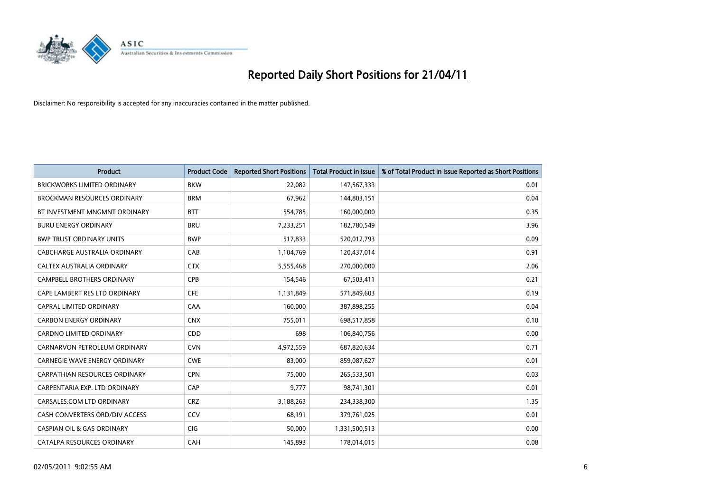

| <b>Product</b>                        | <b>Product Code</b> | <b>Reported Short Positions</b> | <b>Total Product in Issue</b> | % of Total Product in Issue Reported as Short Positions |
|---------------------------------------|---------------------|---------------------------------|-------------------------------|---------------------------------------------------------|
| <b>BRICKWORKS LIMITED ORDINARY</b>    | <b>BKW</b>          | 22,082                          | 147,567,333                   | 0.01                                                    |
| <b>BROCKMAN RESOURCES ORDINARY</b>    | <b>BRM</b>          | 67,962                          | 144,803,151                   | 0.04                                                    |
| BT INVESTMENT MNGMNT ORDINARY         | <b>BTT</b>          | 554,785                         | 160,000,000                   | 0.35                                                    |
| <b>BURU ENERGY ORDINARY</b>           | <b>BRU</b>          | 7,233,251                       | 182,780,549                   | 3.96                                                    |
| <b>BWP TRUST ORDINARY UNITS</b>       | <b>BWP</b>          | 517,833                         | 520,012,793                   | 0.09                                                    |
| CABCHARGE AUSTRALIA ORDINARY          | CAB                 | 1,104,769                       | 120,437,014                   | 0.91                                                    |
| CALTEX AUSTRALIA ORDINARY             | <b>CTX</b>          | 5,555,468                       | 270,000,000                   | 2.06                                                    |
| CAMPBELL BROTHERS ORDINARY            | <b>CPB</b>          | 154,546                         | 67,503,411                    | 0.21                                                    |
| CAPE LAMBERT RES LTD ORDINARY         | <b>CFE</b>          | 1,131,849                       | 571,849,603                   | 0.19                                                    |
| <b>CAPRAL LIMITED ORDINARY</b>        | CAA                 | 160,000                         | 387,898,255                   | 0.04                                                    |
| <b>CARBON ENERGY ORDINARY</b>         | <b>CNX</b>          | 755,011                         | 698,517,858                   | 0.10                                                    |
| <b>CARDNO LIMITED ORDINARY</b>        | CDD                 | 698                             | 106,840,756                   | 0.00                                                    |
| CARNARVON PETROLEUM ORDINARY          | <b>CVN</b>          | 4,972,559                       | 687,820,634                   | 0.71                                                    |
| CARNEGIE WAVE ENERGY ORDINARY         | <b>CWE</b>          | 83,000                          | 859,087,627                   | 0.01                                                    |
| <b>CARPATHIAN RESOURCES ORDINARY</b>  | <b>CPN</b>          | 75,000                          | 265,533,501                   | 0.03                                                    |
| CARPENTARIA EXP. LTD ORDINARY         | CAP                 | 9,777                           | 98,741,301                    | 0.01                                                    |
| CARSALES.COM LTD ORDINARY             | <b>CRZ</b>          | 3,188,263                       | 234,338,300                   | 1.35                                                    |
| CASH CONVERTERS ORD/DIV ACCESS        | CCV                 | 68,191                          | 379,761,025                   | 0.01                                                    |
| <b>CASPIAN OIL &amp; GAS ORDINARY</b> | <b>CIG</b>          | 50,000                          | 1,331,500,513                 | 0.00                                                    |
| CATALPA RESOURCES ORDINARY            | CAH                 | 145,893                         | 178,014,015                   | 0.08                                                    |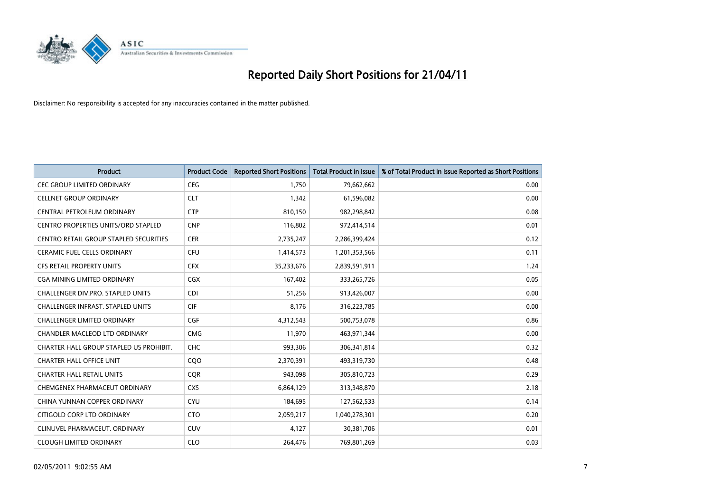

| <b>Product</b>                                | <b>Product Code</b> | <b>Reported Short Positions</b> | Total Product in Issue | % of Total Product in Issue Reported as Short Positions |
|-----------------------------------------------|---------------------|---------------------------------|------------------------|---------------------------------------------------------|
| <b>CEC GROUP LIMITED ORDINARY</b>             | <b>CEG</b>          | 1,750                           | 79,662,662             | 0.00                                                    |
| <b>CELLNET GROUP ORDINARY</b>                 | <b>CLT</b>          | 1,342                           | 61,596,082             | 0.00                                                    |
| CENTRAL PETROLEUM ORDINARY                    | <b>CTP</b>          | 810,150                         | 982,298,842            | 0.08                                                    |
| CENTRO PROPERTIES UNITS/ORD STAPLED           | <b>CNP</b>          | 116,802                         | 972,414,514            | 0.01                                                    |
| <b>CENTRO RETAIL GROUP STAPLED SECURITIES</b> | <b>CER</b>          | 2,735,247                       | 2,286,399,424          | 0.12                                                    |
| <b>CERAMIC FUEL CELLS ORDINARY</b>            | <b>CFU</b>          | 1,414,573                       | 1,201,353,566          | 0.11                                                    |
| <b>CFS RETAIL PROPERTY UNITS</b>              | <b>CFX</b>          | 35,233,676                      | 2,839,591,911          | 1.24                                                    |
| CGA MINING LIMITED ORDINARY                   | <b>CGX</b>          | 167,402                         | 333,265,726            | 0.05                                                    |
| CHALLENGER DIV.PRO. STAPLED UNITS             | <b>CDI</b>          | 51,256                          | 913,426,007            | 0.00                                                    |
| CHALLENGER INFRAST. STAPLED UNITS             | <b>CIF</b>          | 8,176                           | 316,223,785            | 0.00                                                    |
| CHALLENGER LIMITED ORDINARY                   | <b>CGF</b>          | 4,312,543                       | 500,753,078            | 0.86                                                    |
| CHANDLER MACLEOD LTD ORDINARY                 | <b>CMG</b>          | 11,970                          | 463,971,344            | 0.00                                                    |
| CHARTER HALL GROUP STAPLED US PROHIBIT.       | <b>CHC</b>          | 993,306                         | 306,341,814            | 0.32                                                    |
| <b>CHARTER HALL OFFICE UNIT</b>               | COO                 | 2,370,391                       | 493,319,730            | 0.48                                                    |
| <b>CHARTER HALL RETAIL UNITS</b>              | CQR                 | 943.098                         | 305,810,723            | 0.29                                                    |
| CHEMGENEX PHARMACEUT ORDINARY                 | <b>CXS</b>          | 6,864,129                       | 313,348,870            | 2.18                                                    |
| CHINA YUNNAN COPPER ORDINARY                  | <b>CYU</b>          | 184,695                         | 127,562,533            | 0.14                                                    |
| CITIGOLD CORP LTD ORDINARY                    | <b>CTO</b>          | 2,059,217                       | 1,040,278,301          | 0.20                                                    |
| CLINUVEL PHARMACEUT, ORDINARY                 | <b>CUV</b>          | 4,127                           | 30,381,706             | 0.01                                                    |
| <b>CLOUGH LIMITED ORDINARY</b>                | <b>CLO</b>          | 264,476                         | 769,801,269            | 0.03                                                    |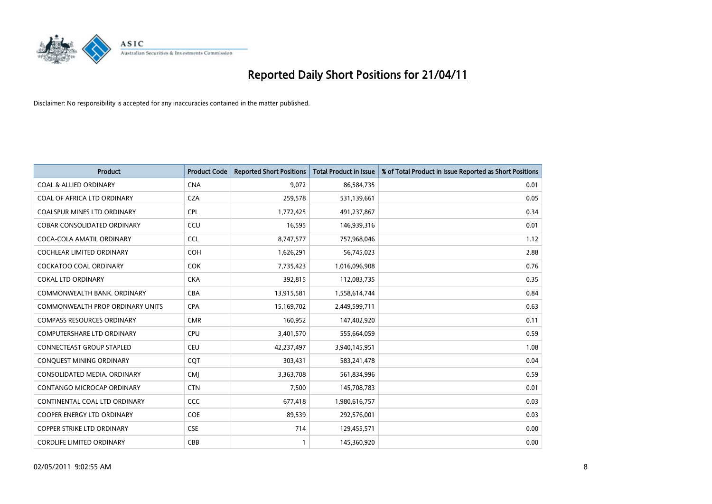

| <b>Product</b>                          | <b>Product Code</b> | <b>Reported Short Positions</b> | Total Product in Issue | % of Total Product in Issue Reported as Short Positions |
|-----------------------------------------|---------------------|---------------------------------|------------------------|---------------------------------------------------------|
| <b>COAL &amp; ALLIED ORDINARY</b>       | <b>CNA</b>          | 9,072                           | 86,584,735             | 0.01                                                    |
| COAL OF AFRICA LTD ORDINARY             | <b>CZA</b>          | 259,578                         | 531,139,661            | 0.05                                                    |
| <b>COALSPUR MINES LTD ORDINARY</b>      | <b>CPL</b>          | 1,772,425                       | 491,237,867            | 0.34                                                    |
| COBAR CONSOLIDATED ORDINARY             | CCU                 | 16,595                          | 146,939,316            | 0.01                                                    |
| COCA-COLA AMATIL ORDINARY               | <b>CCL</b>          | 8,747,577                       | 757,968,046            | 1.12                                                    |
| <b>COCHLEAR LIMITED ORDINARY</b>        | COH                 | 1,626,291                       | 56,745,023             | 2.88                                                    |
| <b>COCKATOO COAL ORDINARY</b>           | <b>COK</b>          | 7,735,423                       | 1,016,096,908          | 0.76                                                    |
| <b>COKAL LTD ORDINARY</b>               | <b>CKA</b>          | 392,815                         | 112,083,735            | 0.35                                                    |
| COMMONWEALTH BANK, ORDINARY             | <b>CBA</b>          | 13,915,581                      | 1,558,614,744          | 0.84                                                    |
| <b>COMMONWEALTH PROP ORDINARY UNITS</b> | <b>CPA</b>          | 15,169,702                      | 2,449,599,711          | 0.63                                                    |
| <b>COMPASS RESOURCES ORDINARY</b>       | <b>CMR</b>          | 160,952                         | 147,402,920            | 0.11                                                    |
| <b>COMPUTERSHARE LTD ORDINARY</b>       | <b>CPU</b>          | 3,401,570                       | 555,664,059            | 0.59                                                    |
| <b>CONNECTEAST GROUP STAPLED</b>        | <b>CEU</b>          | 42,237,497                      | 3,940,145,951          | 1.08                                                    |
| CONQUEST MINING ORDINARY                | COT                 | 303.431                         | 583,241,478            | 0.04                                                    |
| CONSOLIDATED MEDIA, ORDINARY            | <b>CMI</b>          | 3,363,708                       | 561,834,996            | 0.59                                                    |
| <b>CONTANGO MICROCAP ORDINARY</b>       | <b>CTN</b>          | 7,500                           | 145,708,783            | 0.01                                                    |
| CONTINENTAL COAL LTD ORDINARY           | <b>CCC</b>          | 677,418                         | 1,980,616,757          | 0.03                                                    |
| COOPER ENERGY LTD ORDINARY              | <b>COE</b>          | 89,539                          | 292,576,001            | 0.03                                                    |
| <b>COPPER STRIKE LTD ORDINARY</b>       | <b>CSE</b>          | 714                             | 129,455,571            | 0.00                                                    |
| <b>CORDLIFE LIMITED ORDINARY</b>        | CBB                 |                                 | 145,360,920            | 0.00                                                    |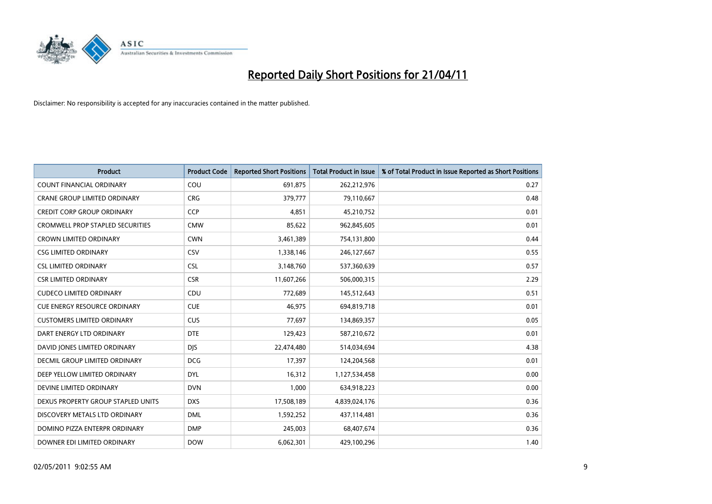

| <b>Product</b>                          | <b>Product Code</b> | <b>Reported Short Positions</b> | Total Product in Issue | % of Total Product in Issue Reported as Short Positions |
|-----------------------------------------|---------------------|---------------------------------|------------------------|---------------------------------------------------------|
| <b>COUNT FINANCIAL ORDINARY</b>         | COU                 | 691,875                         | 262,212,976            | 0.27                                                    |
| <b>CRANE GROUP LIMITED ORDINARY</b>     | <b>CRG</b>          | 379,777                         | 79,110,667             | 0.48                                                    |
| <b>CREDIT CORP GROUP ORDINARY</b>       | CCP                 | 4,851                           | 45,210,752             | 0.01                                                    |
| <b>CROMWELL PROP STAPLED SECURITIES</b> | <b>CMW</b>          | 85,622                          | 962,845,605            | 0.01                                                    |
| <b>CROWN LIMITED ORDINARY</b>           | <b>CWN</b>          | 3,461,389                       | 754,131,800            | 0.44                                                    |
| <b>CSG LIMITED ORDINARY</b>             | CSV                 | 1,338,146                       | 246,127,667            | 0.55                                                    |
| <b>CSL LIMITED ORDINARY</b>             | <b>CSL</b>          | 3,148,760                       | 537,360,639            | 0.57                                                    |
| <b>CSR LIMITED ORDINARY</b>             | <b>CSR</b>          | 11,607,266                      | 506,000,315            | 2.29                                                    |
| <b>CUDECO LIMITED ORDINARY</b>          | CDU                 | 772,689                         | 145,512,643            | 0.51                                                    |
| <b>CUE ENERGY RESOURCE ORDINARY</b>     | <b>CUE</b>          | 46.975                          | 694,819,718            | 0.01                                                    |
| <b>CUSTOMERS LIMITED ORDINARY</b>       | CUS                 | 77,697                          | 134,869,357            | 0.05                                                    |
| DART ENERGY LTD ORDINARY                | <b>DTE</b>          | 129,423                         | 587,210,672            | 0.01                                                    |
| DAVID JONES LIMITED ORDINARY            | <b>DJS</b>          | 22,474,480                      | 514,034,694            | 4.38                                                    |
| DECMIL GROUP LIMITED ORDINARY           | <b>DCG</b>          | 17.397                          | 124,204,568            | 0.01                                                    |
| DEEP YELLOW LIMITED ORDINARY            | <b>DYL</b>          | 16,312                          | 1,127,534,458          | 0.00                                                    |
| DEVINE LIMITED ORDINARY                 | <b>DVN</b>          | 1,000                           | 634,918,223            | 0.00                                                    |
| DEXUS PROPERTY GROUP STAPLED UNITS      | <b>DXS</b>          | 17,508,189                      | 4,839,024,176          | 0.36                                                    |
| DISCOVERY METALS LTD ORDINARY           | <b>DML</b>          | 1,592,252                       | 437,114,481            | 0.36                                                    |
| DOMINO PIZZA ENTERPR ORDINARY           | <b>DMP</b>          | 245,003                         | 68,407,674             | 0.36                                                    |
| DOWNER EDI LIMITED ORDINARY             | <b>DOW</b>          | 6,062,301                       | 429,100,296            | 1.40                                                    |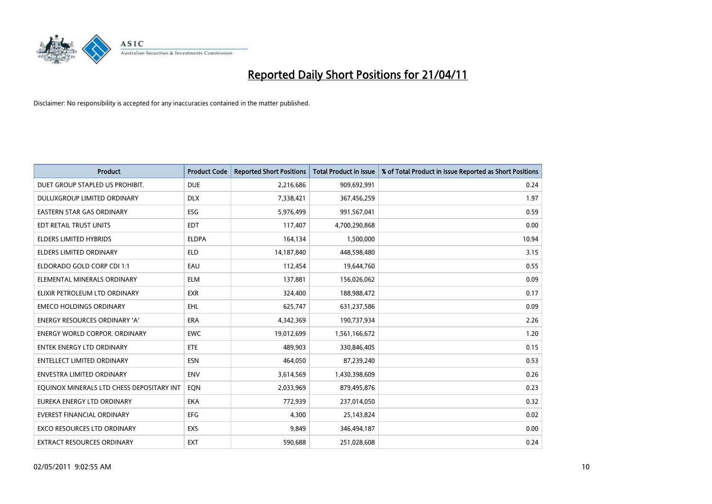

| <b>Product</b>                            | <b>Product Code</b> | <b>Reported Short Positions</b> | Total Product in Issue | % of Total Product in Issue Reported as Short Positions |
|-------------------------------------------|---------------------|---------------------------------|------------------------|---------------------------------------------------------|
| DUET GROUP STAPLED US PROHIBIT.           | <b>DUE</b>          | 2,216,686                       | 909,692,991            | 0.24                                                    |
| DULUXGROUP LIMITED ORDINARY               | <b>DLX</b>          | 7,338,421                       | 367,456,259            | 1.97                                                    |
| <b>EASTERN STAR GAS ORDINARY</b>          | <b>ESG</b>          | 5,976,499                       | 991,567,041            | 0.59                                                    |
| EDT RETAIL TRUST UNITS                    | <b>EDT</b>          | 117,407                         | 4,700,290,868          | 0.00                                                    |
| <b>ELDERS LIMITED HYBRIDS</b>             | <b>ELDPA</b>        | 164,134                         | 1,500,000              | 10.94                                                   |
| <b>ELDERS LIMITED ORDINARY</b>            | <b>ELD</b>          | 14,187,840                      | 448,598,480            | 3.15                                                    |
| ELDORADO GOLD CORP CDI 1:1                | EAU                 | 112,454                         | 19,644,760             | 0.55                                                    |
| ELEMENTAL MINERALS ORDINARY               | <b>ELM</b>          | 137,881                         | 156,026,062            | 0.09                                                    |
| ELIXIR PETROLEUM LTD ORDINARY             | <b>EXR</b>          | 324,400                         | 188,988,472            | 0.17                                                    |
| <b>EMECO HOLDINGS ORDINARY</b>            | EHL                 | 625,747                         | 631,237,586            | 0.09                                                    |
| <b>ENERGY RESOURCES ORDINARY 'A'</b>      | <b>ERA</b>          | 4,342,369                       | 190,737,934            | 2.26                                                    |
| <b>ENERGY WORLD CORPOR, ORDINARY</b>      | <b>EWC</b>          | 19,012,699                      | 1,561,166,672          | 1.20                                                    |
| <b>ENTEK ENERGY LTD ORDINARY</b>          | ETE                 | 489.903                         | 330,846,405            | 0.15                                                    |
| <b>ENTELLECT LIMITED ORDINARY</b>         | <b>ESN</b>          | 464.050                         | 87,239,240             | 0.53                                                    |
| <b>ENVESTRA LIMITED ORDINARY</b>          | <b>ENV</b>          | 3,614,569                       | 1,430,398,609          | 0.26                                                    |
| EQUINOX MINERALS LTD CHESS DEPOSITARY INT | EON                 | 2,033,969                       | 879,495,876            | 0.23                                                    |
| EUREKA ENERGY LTD ORDINARY                | <b>EKA</b>          | 772,939                         | 237,014,050            | 0.32                                                    |
| EVEREST FINANCIAL ORDINARY                | <b>EFG</b>          | 4,300                           | 25,143,824             | 0.02                                                    |
| <b>EXCO RESOURCES LTD ORDINARY</b>        | <b>EXS</b>          | 9,849                           | 346,494,187            | 0.00                                                    |
| <b>EXTRACT RESOURCES ORDINARY</b>         | <b>EXT</b>          | 590.688                         | 251,028,608            | 0.24                                                    |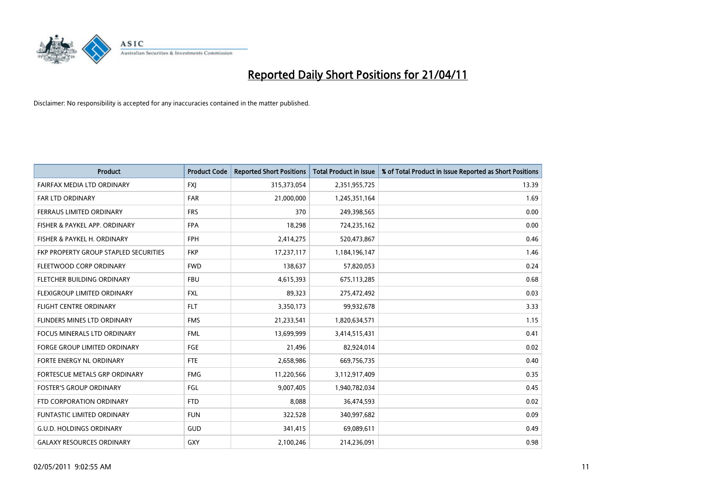

| <b>Product</b>                        | <b>Product Code</b> | <b>Reported Short Positions</b> | <b>Total Product in Issue</b> | % of Total Product in Issue Reported as Short Positions |
|---------------------------------------|---------------------|---------------------------------|-------------------------------|---------------------------------------------------------|
| FAIRFAX MEDIA LTD ORDINARY            | <b>FXJ</b>          | 315,373,054                     | 2,351,955,725                 | 13.39                                                   |
| <b>FAR LTD ORDINARY</b>               | FAR                 | 21,000,000                      | 1,245,351,164                 | 1.69                                                    |
| <b>FERRAUS LIMITED ORDINARY</b>       | <b>FRS</b>          | 370                             | 249,398,565                   | 0.00                                                    |
| FISHER & PAYKEL APP. ORDINARY         | <b>FPA</b>          | 18,298                          | 724,235,162                   | 0.00                                                    |
| FISHER & PAYKEL H. ORDINARY           | <b>FPH</b>          | 2,414,275                       | 520,473,867                   | 0.46                                                    |
| FKP PROPERTY GROUP STAPLED SECURITIES | <b>FKP</b>          | 17,237,117                      | 1,184,196,147                 | 1.46                                                    |
| FLEETWOOD CORP ORDINARY               | <b>FWD</b>          | 138,637                         | 57,820,053                    | 0.24                                                    |
| <b>FLETCHER BUILDING ORDINARY</b>     | <b>FBU</b>          | 4,615,393                       | 675,113,285                   | 0.68                                                    |
| FLEXIGROUP LIMITED ORDINARY           | <b>FXL</b>          | 89,323                          | 275,472,492                   | 0.03                                                    |
| <b>FLIGHT CENTRE ORDINARY</b>         | <b>FLT</b>          | 3,350,173                       | 99,932,678                    | 3.33                                                    |
| FLINDERS MINES LTD ORDINARY           | <b>FMS</b>          | 21,233,541                      | 1,820,634,571                 | 1.15                                                    |
| <b>FOCUS MINERALS LTD ORDINARY</b>    | <b>FML</b>          | 13,699,999                      | 3,414,515,431                 | 0.41                                                    |
| <b>FORGE GROUP LIMITED ORDINARY</b>   | <b>FGE</b>          | 21,496                          | 82,924,014                    | 0.02                                                    |
| FORTE ENERGY NL ORDINARY              | <b>FTE</b>          | 2,658,986                       | 669,756,735                   | 0.40                                                    |
| FORTESCUE METALS GRP ORDINARY         | <b>FMG</b>          | 11,220,566                      | 3,112,917,409                 | 0.35                                                    |
| <b>FOSTER'S GROUP ORDINARY</b>        | FGL                 | 9,007,405                       | 1,940,782,034                 | 0.45                                                    |
| FTD CORPORATION ORDINARY              | <b>FTD</b>          | 8,088                           | 36,474,593                    | 0.02                                                    |
| <b>FUNTASTIC LIMITED ORDINARY</b>     | <b>FUN</b>          | 322,528                         | 340,997,682                   | 0.09                                                    |
| <b>G.U.D. HOLDINGS ORDINARY</b>       | GUD                 | 341,415                         | 69,089,611                    | 0.49                                                    |
| <b>GALAXY RESOURCES ORDINARY</b>      | <b>GXY</b>          | 2,100,246                       | 214,236,091                   | 0.98                                                    |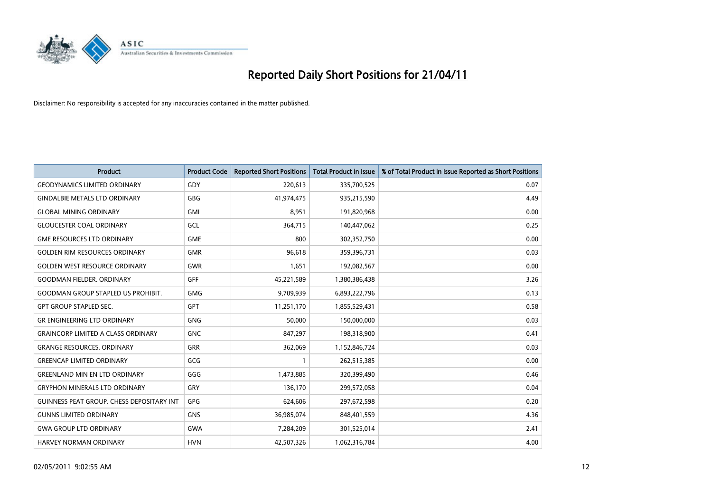

| <b>Product</b>                            | <b>Product Code</b> | <b>Reported Short Positions</b> | <b>Total Product in Issue</b> | % of Total Product in Issue Reported as Short Positions |
|-------------------------------------------|---------------------|---------------------------------|-------------------------------|---------------------------------------------------------|
| <b>GEODYNAMICS LIMITED ORDINARY</b>       | GDY                 | 220,613                         | 335,700,525                   | 0.07                                                    |
| <b>GINDALBIE METALS LTD ORDINARY</b>      | <b>GBG</b>          | 41,974,475                      | 935,215,590                   | 4.49                                                    |
| <b>GLOBAL MINING ORDINARY</b>             | <b>GMI</b>          | 8,951                           | 191,820,968                   | 0.00                                                    |
| <b>GLOUCESTER COAL ORDINARY</b>           | GCL                 | 364,715                         | 140,447,062                   | 0.25                                                    |
| <b>GME RESOURCES LTD ORDINARY</b>         | <b>GME</b>          | 800                             | 302,352,750                   | 0.00                                                    |
| <b>GOLDEN RIM RESOURCES ORDINARY</b>      | <b>GMR</b>          | 96,618                          | 359,396,731                   | 0.03                                                    |
| <b>GOLDEN WEST RESOURCE ORDINARY</b>      | GWR                 | 1,651                           | 192,082,567                   | 0.00                                                    |
| <b>GOODMAN FIELDER, ORDINARY</b>          | <b>GFF</b>          | 45,221,589                      | 1,380,386,438                 | 3.26                                                    |
| <b>GOODMAN GROUP STAPLED US PROHIBIT.</b> | <b>GMG</b>          | 9,709,939                       | 6,893,222,796                 | 0.13                                                    |
| <b>GPT GROUP STAPLED SEC.</b>             | <b>GPT</b>          | 11,251,170                      | 1,855,529,431                 | 0.58                                                    |
| <b>GR ENGINEERING LTD ORDINARY</b>        | <b>GNG</b>          | 50,000                          | 150,000,000                   | 0.03                                                    |
| <b>GRAINCORP LIMITED A CLASS ORDINARY</b> | <b>GNC</b>          | 847,297                         | 198,318,900                   | 0.41                                                    |
| <b>GRANGE RESOURCES. ORDINARY</b>         | <b>GRR</b>          | 362,069                         | 1,152,846,724                 | 0.03                                                    |
| <b>GREENCAP LIMITED ORDINARY</b>          | GCG                 |                                 | 262,515,385                   | 0.00                                                    |
| <b>GREENLAND MIN EN LTD ORDINARY</b>      | GGG                 | 1,473,885                       | 320,399,490                   | 0.46                                                    |
| <b>GRYPHON MINERALS LTD ORDINARY</b>      | <b>GRY</b>          | 136,170                         | 299,572,058                   | 0.04                                                    |
| GUINNESS PEAT GROUP. CHESS DEPOSITARY INT | GPG                 | 624,606                         | 297,672,598                   | 0.20                                                    |
| <b>GUNNS LIMITED ORDINARY</b>             | <b>GNS</b>          | 36,985,074                      | 848,401,559                   | 4.36                                                    |
| <b>GWA GROUP LTD ORDINARY</b>             | <b>GWA</b>          | 7,284,209                       | 301,525,014                   | 2.41                                                    |
| <b>HARVEY NORMAN ORDINARY</b>             | <b>HVN</b>          | 42,507,326                      | 1,062,316,784                 | 4.00                                                    |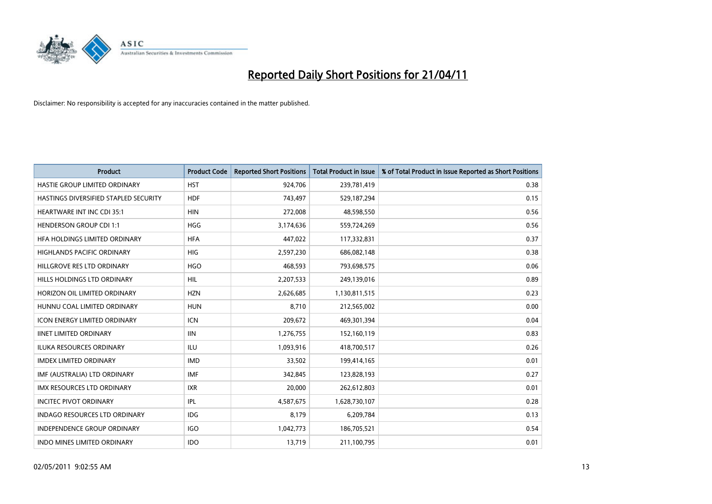

| <b>Product</b>                        | <b>Product Code</b> | <b>Reported Short Positions</b> | <b>Total Product in Issue</b> | % of Total Product in Issue Reported as Short Positions |
|---------------------------------------|---------------------|---------------------------------|-------------------------------|---------------------------------------------------------|
| HASTIE GROUP LIMITED ORDINARY         | <b>HST</b>          | 924,706                         | 239,781,419                   | 0.38                                                    |
| HASTINGS DIVERSIFIED STAPLED SECURITY | <b>HDF</b>          | 743,497                         | 529,187,294                   | 0.15                                                    |
| <b>HEARTWARE INT INC CDI 35:1</b>     | <b>HIN</b>          | 272,008                         | 48,598,550                    | 0.56                                                    |
| <b>HENDERSON GROUP CDI 1:1</b>        | <b>HGG</b>          | 3,174,636                       | 559,724,269                   | 0.56                                                    |
| HFA HOLDINGS LIMITED ORDINARY         | <b>HFA</b>          | 447,022                         | 117,332,831                   | 0.37                                                    |
| <b>HIGHLANDS PACIFIC ORDINARY</b>     | <b>HIG</b>          | 2,597,230                       | 686,082,148                   | 0.38                                                    |
| HILLGROVE RES LTD ORDINARY            | <b>HGO</b>          | 468,593                         | 793,698,575                   | 0.06                                                    |
| HILLS HOLDINGS LTD ORDINARY           | <b>HIL</b>          | 2,207,533                       | 249,139,016                   | 0.89                                                    |
| HORIZON OIL LIMITED ORDINARY          | <b>HZN</b>          | 2,626,685                       | 1,130,811,515                 | 0.23                                                    |
| HUNNU COAL LIMITED ORDINARY           | <b>HUN</b>          | 8,710                           | 212,565,002                   | 0.00                                                    |
| ICON ENERGY LIMITED ORDINARY          | <b>ICN</b>          | 209,672                         | 469,301,394                   | 0.04                                                    |
| <b>IINET LIMITED ORDINARY</b>         | <b>IIN</b>          | 1,276,755                       | 152,160,119                   | 0.83                                                    |
| ILUKA RESOURCES ORDINARY              | ILU                 | 1,093,916                       | 418,700,517                   | 0.26                                                    |
| <b>IMDEX LIMITED ORDINARY</b>         | <b>IMD</b>          | 33,502                          | 199,414,165                   | 0.01                                                    |
| IMF (AUSTRALIA) LTD ORDINARY          | <b>IMF</b>          | 342,845                         | 123,828,193                   | 0.27                                                    |
| <b>IMX RESOURCES LTD ORDINARY</b>     | <b>IXR</b>          | 20,000                          | 262,612,803                   | 0.01                                                    |
| <b>INCITEC PIVOT ORDINARY</b>         | <b>IPL</b>          | 4,587,675                       | 1,628,730,107                 | 0.28                                                    |
| INDAGO RESOURCES LTD ORDINARY         | IDG                 | 8,179                           | 6,209,784                     | 0.13                                                    |
| <b>INDEPENDENCE GROUP ORDINARY</b>    | <b>IGO</b>          | 1,042,773                       | 186,705,521                   | 0.54                                                    |
| INDO MINES LIMITED ORDINARY           | <b>IDO</b>          | 13,719                          | 211,100,795                   | 0.01                                                    |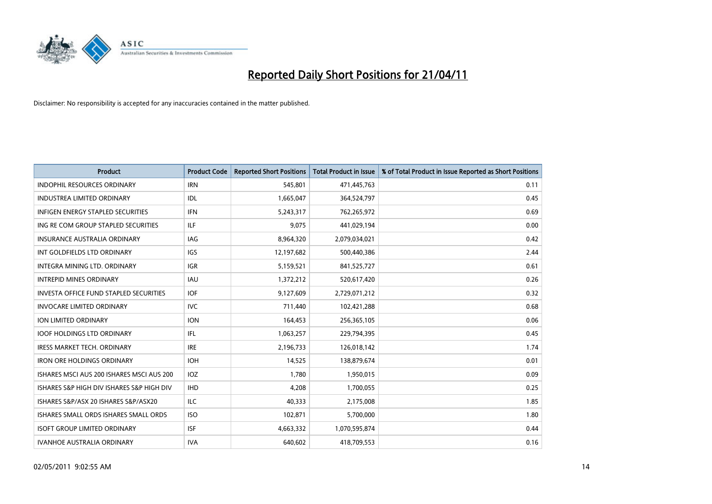

| <b>Product</b>                            | <b>Product Code</b> | <b>Reported Short Positions</b> | Total Product in Issue | % of Total Product in Issue Reported as Short Positions |
|-------------------------------------------|---------------------|---------------------------------|------------------------|---------------------------------------------------------|
| <b>INDOPHIL RESOURCES ORDINARY</b>        | <b>IRN</b>          | 545,801                         | 471,445,763            | 0.11                                                    |
| INDUSTREA LIMITED ORDINARY                | IDL                 | 1,665,047                       | 364,524,797            | 0.45                                                    |
| <b>INFIGEN ENERGY STAPLED SECURITIES</b>  | <b>IFN</b>          | 5,243,317                       | 762,265,972            | 0.69                                                    |
| ING RE COM GROUP STAPLED SECURITIES       | <b>ILF</b>          | 9,075                           | 441,029,194            | 0.00                                                    |
| <b>INSURANCE AUSTRALIA ORDINARY</b>       | IAG                 | 8,964,320                       | 2,079,034,021          | 0.42                                                    |
| INT GOLDFIELDS LTD ORDINARY               | <b>IGS</b>          | 12,197,682                      | 500,440,386            | 2.44                                                    |
| <b>INTEGRA MINING LTD, ORDINARY</b>       | <b>IGR</b>          | 5,159,521                       | 841,525,727            | 0.61                                                    |
| <b>INTREPID MINES ORDINARY</b>            | <b>IAU</b>          | 1,372,212                       | 520,617,420            | 0.26                                                    |
| INVESTA OFFICE FUND STAPLED SECURITIES    | IOF                 | 9,127,609                       | 2,729,071,212          | 0.32                                                    |
| <b>INVOCARE LIMITED ORDINARY</b>          | <b>IVC</b>          | 711,440                         | 102,421,288            | 0.68                                                    |
| <b>ION LIMITED ORDINARY</b>               | <b>ION</b>          | 164,453                         | 256,365,105            | 0.06                                                    |
| <b>IOOF HOLDINGS LTD ORDINARY</b>         | IFL.                | 1,063,257                       | 229,794,395            | 0.45                                                    |
| <b>IRESS MARKET TECH. ORDINARY</b>        | <b>IRE</b>          | 2,196,733                       | 126,018,142            | 1.74                                                    |
| <b>IRON ORE HOLDINGS ORDINARY</b>         | <b>IOH</b>          | 14,525                          | 138,879,674            | 0.01                                                    |
| ISHARES MSCI AUS 200 ISHARES MSCI AUS 200 | <b>IOZ</b>          | 1,780                           | 1,950,015              | 0.09                                                    |
| ISHARES S&P HIGH DIV ISHARES S&P HIGH DIV | <b>IHD</b>          | 4,208                           | 1,700,055              | 0.25                                                    |
| ISHARES S&P/ASX 20 ISHARES S&P/ASX20      | <b>ILC</b>          | 40,333                          | 2,175,008              | 1.85                                                    |
| ISHARES SMALL ORDS ISHARES SMALL ORDS     | <b>ISO</b>          | 102,871                         | 5,700,000              | 1.80                                                    |
| <b>ISOFT GROUP LIMITED ORDINARY</b>       | <b>ISF</b>          | 4,663,332                       | 1,070,595,874          | 0.44                                                    |
| <b>IVANHOE AUSTRALIA ORDINARY</b>         | <b>IVA</b>          | 640.602                         | 418,709,553            | 0.16                                                    |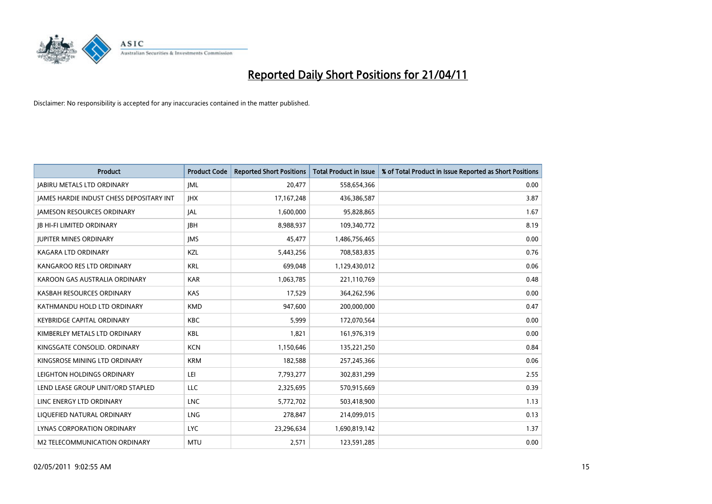

| <b>Product</b>                                  | <b>Product Code</b> | <b>Reported Short Positions</b> | <b>Total Product in Issue</b> | % of Total Product in Issue Reported as Short Positions |
|-------------------------------------------------|---------------------|---------------------------------|-------------------------------|---------------------------------------------------------|
| <b>JABIRU METALS LTD ORDINARY</b>               | JML                 | 20,477                          | 558,654,366                   | 0.00                                                    |
| <b>JAMES HARDIE INDUST CHESS DEPOSITARY INT</b> | <b>IHX</b>          | 17, 167, 248                    | 436,386,587                   | 3.87                                                    |
| <b>JAMESON RESOURCES ORDINARY</b>               | <b>JAL</b>          | 1,600,000                       | 95,828,865                    | 1.67                                                    |
| <b>JB HI-FI LIMITED ORDINARY</b>                | <b>IBH</b>          | 8,988,937                       | 109,340,772                   | 8.19                                                    |
| <b>JUPITER MINES ORDINARY</b>                   | <b>IMS</b>          | 45,477                          | 1,486,756,465                 | 0.00                                                    |
| <b>KAGARA LTD ORDINARY</b>                      | KZL                 | 5,443,256                       | 708,583,835                   | 0.76                                                    |
| KANGAROO RES LTD ORDINARY                       | <b>KRL</b>          | 699,048                         | 1,129,430,012                 | 0.06                                                    |
| KAROON GAS AUSTRALIA ORDINARY                   | <b>KAR</b>          | 1,063,785                       | 221,110,769                   | 0.48                                                    |
| KASBAH RESOURCES ORDINARY                       | <b>KAS</b>          | 17,529                          | 364,262,596                   | 0.00                                                    |
| KATHMANDU HOLD LTD ORDINARY                     | <b>KMD</b>          | 947,600                         | 200,000,000                   | 0.47                                                    |
| KEYBRIDGE CAPITAL ORDINARY                      | <b>KBC</b>          | 5,999                           | 172,070,564                   | 0.00                                                    |
| KIMBERLEY METALS LTD ORDINARY                   | <b>KBL</b>          | 1,821                           | 161,976,319                   | 0.00                                                    |
| KINGSGATE CONSOLID, ORDINARY                    | <b>KCN</b>          | 1,150,646                       | 135,221,250                   | 0.84                                                    |
| KINGSROSE MINING LTD ORDINARY                   | <b>KRM</b>          | 182,588                         | 257,245,366                   | 0.06                                                    |
| LEIGHTON HOLDINGS ORDINARY                      | LEI                 | 7,793,277                       | 302,831,299                   | 2.55                                                    |
| LEND LEASE GROUP UNIT/ORD STAPLED               | LLC                 | 2,325,695                       | 570,915,669                   | 0.39                                                    |
| LINC ENERGY LTD ORDINARY                        | <b>LNC</b>          | 5,772,702                       | 503,418,900                   | 1.13                                                    |
| LIQUEFIED NATURAL ORDINARY                      | LNG                 | 278,847                         | 214,099,015                   | 0.13                                                    |
| LYNAS CORPORATION ORDINARY                      | <b>LYC</b>          | 23,296,634                      | 1,690,819,142                 | 1.37                                                    |
| M2 TELECOMMUNICATION ORDINARY                   | <b>MTU</b>          | 2,571                           | 123,591,285                   | 0.00                                                    |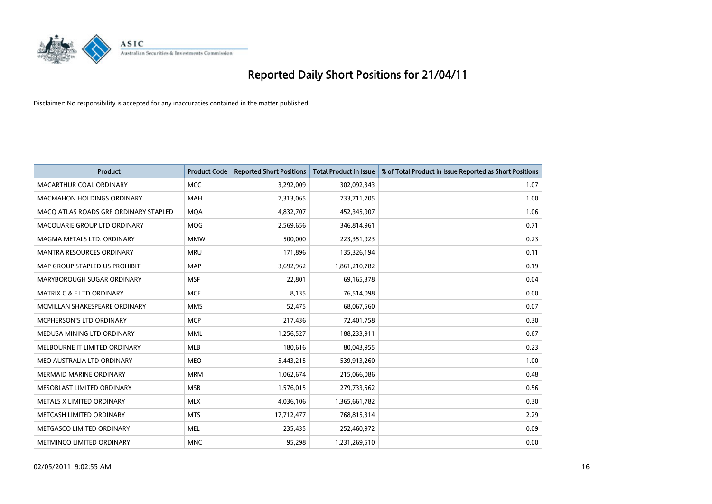

| <b>Product</b>                        | <b>Product Code</b> | <b>Reported Short Positions</b> | <b>Total Product in Issue</b> | % of Total Product in Issue Reported as Short Positions |
|---------------------------------------|---------------------|---------------------------------|-------------------------------|---------------------------------------------------------|
| MACARTHUR COAL ORDINARY               | <b>MCC</b>          | 3,292,009                       | 302,092,343                   | 1.07                                                    |
| <b>MACMAHON HOLDINGS ORDINARY</b>     | <b>MAH</b>          | 7,313,065                       | 733,711,705                   | 1.00                                                    |
| MACO ATLAS ROADS GRP ORDINARY STAPLED | <b>MOA</b>          | 4,832,707                       | 452,345,907                   | 1.06                                                    |
| MACQUARIE GROUP LTD ORDINARY          | MQG                 | 2,569,656                       | 346,814,961                   | 0.71                                                    |
| MAGMA METALS LTD. ORDINARY            | <b>MMW</b>          | 500,000                         | 223,351,923                   | 0.23                                                    |
| <b>MANTRA RESOURCES ORDINARY</b>      | <b>MRU</b>          | 171,896                         | 135,326,194                   | 0.11                                                    |
| MAP GROUP STAPLED US PROHIBIT.        | <b>MAP</b>          | 3,692,962                       | 1,861,210,782                 | 0.19                                                    |
| MARYBOROUGH SUGAR ORDINARY            | <b>MSF</b>          | 22,801                          | 69,165,378                    | 0.04                                                    |
| <b>MATRIX C &amp; E LTD ORDINARY</b>  | <b>MCE</b>          | 8,135                           | 76,514,098                    | 0.00                                                    |
| MCMILLAN SHAKESPEARE ORDINARY         | <b>MMS</b>          | 52,475                          | 68,067,560                    | 0.07                                                    |
| MCPHERSON'S LTD ORDINARY              | <b>MCP</b>          | 217,436                         | 72,401,758                    | 0.30                                                    |
| MEDUSA MINING LTD ORDINARY            | <b>MML</b>          | 1,256,527                       | 188,233,911                   | 0.67                                                    |
| MELBOURNE IT LIMITED ORDINARY         | <b>MLB</b>          | 180,616                         | 80,043,955                    | 0.23                                                    |
| MEO AUSTRALIA LTD ORDINARY            | <b>MEO</b>          | 5,443,215                       | 539,913,260                   | 1.00                                                    |
| <b>MERMAID MARINE ORDINARY</b>        | <b>MRM</b>          | 1,062,674                       | 215,066,086                   | 0.48                                                    |
| MESOBLAST LIMITED ORDINARY            | <b>MSB</b>          | 1,576,015                       | 279,733,562                   | 0.56                                                    |
| METALS X LIMITED ORDINARY             | <b>MLX</b>          | 4,036,106                       | 1,365,661,782                 | 0.30                                                    |
| METCASH LIMITED ORDINARY              | <b>MTS</b>          | 17,712,477                      | 768,815,314                   | 2.29                                                    |
| METGASCO LIMITED ORDINARY             | <b>MEL</b>          | 235,435                         | 252,460,972                   | 0.09                                                    |
| METMINCO LIMITED ORDINARY             | <b>MNC</b>          | 95,298                          | 1,231,269,510                 | 0.00                                                    |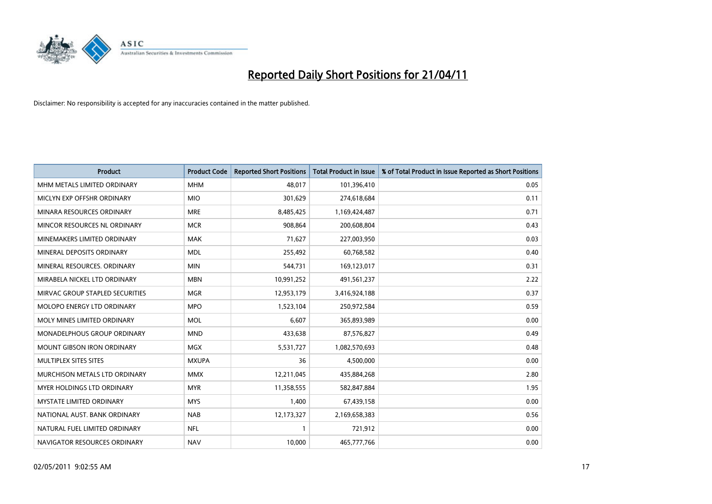

| <b>Product</b>                     | <b>Product Code</b> | <b>Reported Short Positions</b> | <b>Total Product in Issue</b> | % of Total Product in Issue Reported as Short Positions |
|------------------------------------|---------------------|---------------------------------|-------------------------------|---------------------------------------------------------|
| MHM METALS LIMITED ORDINARY        | <b>MHM</b>          | 48,017                          | 101,396,410                   | 0.05                                                    |
| MICLYN EXP OFFSHR ORDINARY         | <b>MIO</b>          | 301,629                         | 274,618,684                   | 0.11                                                    |
| MINARA RESOURCES ORDINARY          | <b>MRE</b>          | 8,485,425                       | 1,169,424,487                 | 0.71                                                    |
| MINCOR RESOURCES NL ORDINARY       | <b>MCR</b>          | 908,864                         | 200,608,804                   | 0.43                                                    |
| MINEMAKERS LIMITED ORDINARY        | <b>MAK</b>          | 71,627                          | 227,003,950                   | 0.03                                                    |
| MINERAL DEPOSITS ORDINARY          | <b>MDL</b>          | 255,492                         | 60,768,582                    | 0.40                                                    |
| MINERAL RESOURCES. ORDINARY        | <b>MIN</b>          | 544,731                         | 169,123,017                   | 0.31                                                    |
| MIRABELA NICKEL LTD ORDINARY       | <b>MBN</b>          | 10,991,252                      | 491,561,237                   | 2.22                                                    |
| MIRVAC GROUP STAPLED SECURITIES    | <b>MGR</b>          | 12,953,179                      | 3,416,924,188                 | 0.37                                                    |
| MOLOPO ENERGY LTD ORDINARY         | <b>MPO</b>          | 1,523,104                       | 250,972,584                   | 0.59                                                    |
| MOLY MINES LIMITED ORDINARY        | <b>MOL</b>          | 6,607                           | 365,893,989                   | 0.00                                                    |
| <b>MONADELPHOUS GROUP ORDINARY</b> | <b>MND</b>          | 433,638                         | 87,576,827                    | 0.49                                                    |
| MOUNT GIBSON IRON ORDINARY         | MGX                 | 5,531,727                       | 1,082,570,693                 | 0.48                                                    |
| MULTIPLEX SITES SITES              | <b>MXUPA</b>        | 36                              | 4,500,000                     | 0.00                                                    |
| MURCHISON METALS LTD ORDINARY      | <b>MMX</b>          | 12,211,045                      | 435,884,268                   | 2.80                                                    |
| MYER HOLDINGS LTD ORDINARY         | <b>MYR</b>          | 11,358,555                      | 582,847,884                   | 1.95                                                    |
| MYSTATE LIMITED ORDINARY           | <b>MYS</b>          | 1,400                           | 67,439,158                    | 0.00                                                    |
| NATIONAL AUST. BANK ORDINARY       | <b>NAB</b>          | 12,173,327                      | 2,169,658,383                 | 0.56                                                    |
| NATURAL FUEL LIMITED ORDINARY      | <b>NFL</b>          |                                 | 721,912                       | 0.00                                                    |
| NAVIGATOR RESOURCES ORDINARY       | <b>NAV</b>          | 10,000                          | 465,777,766                   | 0.00                                                    |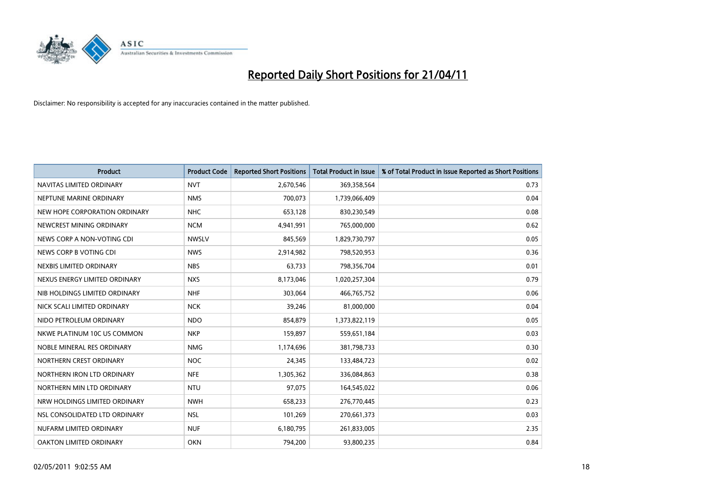

| <b>Product</b>                | <b>Product Code</b> | <b>Reported Short Positions</b> | <b>Total Product in Issue</b> | % of Total Product in Issue Reported as Short Positions |
|-------------------------------|---------------------|---------------------------------|-------------------------------|---------------------------------------------------------|
| NAVITAS LIMITED ORDINARY      | <b>NVT</b>          | 2,670,546                       | 369,358,564                   | 0.73                                                    |
| NEPTUNE MARINE ORDINARY       | <b>NMS</b>          | 700,073                         | 1,739,066,409                 | 0.04                                                    |
| NEW HOPE CORPORATION ORDINARY | <b>NHC</b>          | 653,128                         | 830,230,549                   | 0.08                                                    |
| NEWCREST MINING ORDINARY      | <b>NCM</b>          | 4,941,991                       | 765,000,000                   | 0.62                                                    |
| NEWS CORP A NON-VOTING CDI    | <b>NWSLV</b>        | 845,569                         | 1,829,730,797                 | 0.05                                                    |
| NEWS CORP B VOTING CDI        | <b>NWS</b>          | 2,914,982                       | 798,520,953                   | 0.36                                                    |
| NEXBIS LIMITED ORDINARY       | <b>NBS</b>          | 63,733                          | 798,356,704                   | 0.01                                                    |
| NEXUS ENERGY LIMITED ORDINARY | <b>NXS</b>          | 8,173,046                       | 1,020,257,304                 | 0.79                                                    |
| NIB HOLDINGS LIMITED ORDINARY | <b>NHF</b>          | 303,064                         | 466,765,752                   | 0.06                                                    |
| NICK SCALI LIMITED ORDINARY   | <b>NCK</b>          | 39,246                          | 81,000,000                    | 0.04                                                    |
| NIDO PETROLEUM ORDINARY       | <b>NDO</b>          | 854,879                         | 1,373,822,119                 | 0.05                                                    |
| NKWE PLATINUM 10C US COMMON   | <b>NKP</b>          | 159,897                         | 559,651,184                   | 0.03                                                    |
| NOBLE MINERAL RES ORDINARY    | <b>NMG</b>          | 1,174,696                       | 381,798,733                   | 0.30                                                    |
| NORTHERN CREST ORDINARY       | <b>NOC</b>          | 24,345                          | 133,484,723                   | 0.02                                                    |
| NORTHERN IRON LTD ORDINARY    | <b>NFE</b>          | 1,305,362                       | 336,084,863                   | 0.38                                                    |
| NORTHERN MIN LTD ORDINARY     | <b>NTU</b>          | 97,075                          | 164,545,022                   | 0.06                                                    |
| NRW HOLDINGS LIMITED ORDINARY | <b>NWH</b>          | 658,233                         | 276,770,445                   | 0.23                                                    |
| NSL CONSOLIDATED LTD ORDINARY | <b>NSL</b>          | 101,269                         | 270,661,373                   | 0.03                                                    |
| NUFARM LIMITED ORDINARY       | <b>NUF</b>          | 6,180,795                       | 261,833,005                   | 2.35                                                    |
| OAKTON LIMITED ORDINARY       | <b>OKN</b>          | 794,200                         | 93,800,235                    | 0.84                                                    |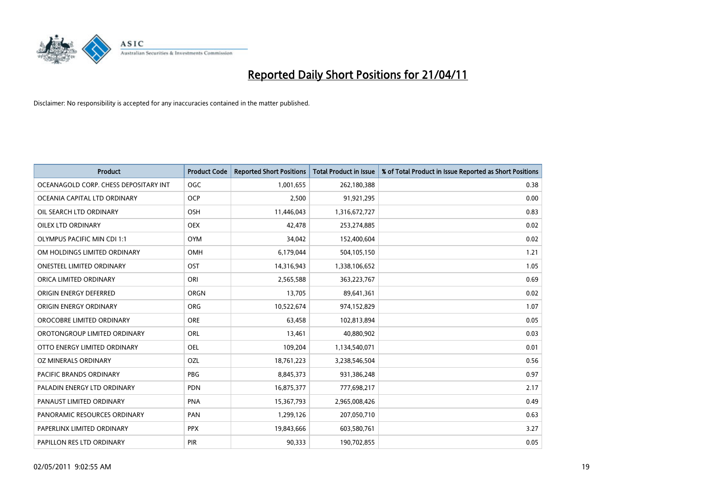

| <b>Product</b>                        | <b>Product Code</b> | <b>Reported Short Positions</b> | Total Product in Issue | % of Total Product in Issue Reported as Short Positions |
|---------------------------------------|---------------------|---------------------------------|------------------------|---------------------------------------------------------|
| OCEANAGOLD CORP. CHESS DEPOSITARY INT | <b>OGC</b>          | 1,001,655                       | 262,180,388            | 0.38                                                    |
| OCEANIA CAPITAL LTD ORDINARY          | <b>OCP</b>          | 2,500                           | 91,921,295             | 0.00                                                    |
| OIL SEARCH LTD ORDINARY               | OSH                 | 11,446,043                      | 1,316,672,727          | 0.83                                                    |
| OILEX LTD ORDINARY                    | <b>OEX</b>          | 42,478                          | 253,274,885            | 0.02                                                    |
| <b>OLYMPUS PACIFIC MIN CDI 1:1</b>    | <b>OYM</b>          | 34,042                          | 152,400,604            | 0.02                                                    |
| OM HOLDINGS LIMITED ORDINARY          | OMH                 | 6,179,044                       | 504,105,150            | 1.21                                                    |
| ONESTEEL LIMITED ORDINARY             | OST                 | 14,316,943                      | 1,338,106,652          | 1.05                                                    |
| ORICA LIMITED ORDINARY                | ORI                 | 2,565,588                       | 363,223,767            | 0.69                                                    |
| ORIGIN ENERGY DEFERRED                | <b>ORGN</b>         | 13,705                          | 89,641,361             | 0.02                                                    |
| ORIGIN ENERGY ORDINARY                | <b>ORG</b>          | 10,522,674                      | 974,152,829            | 1.07                                                    |
| OROCOBRE LIMITED ORDINARY             | <b>ORE</b>          | 63,458                          | 102,813,894            | 0.05                                                    |
| OROTONGROUP LIMITED ORDINARY          | ORL                 | 13,461                          | 40,880,902             | 0.03                                                    |
| OTTO ENERGY LIMITED ORDINARY          | OEL                 | 109,204                         | 1,134,540,071          | 0.01                                                    |
| OZ MINERALS ORDINARY                  | OZL                 | 18,761,223                      | 3,238,546,504          | 0.56                                                    |
| <b>PACIFIC BRANDS ORDINARY</b>        | <b>PBG</b>          | 8,845,373                       | 931,386,248            | 0.97                                                    |
| PALADIN ENERGY LTD ORDINARY           | <b>PDN</b>          | 16,875,377                      | 777,698,217            | 2.17                                                    |
| PANAUST LIMITED ORDINARY              | <b>PNA</b>          | 15,367,793                      | 2,965,008,426          | 0.49                                                    |
| PANORAMIC RESOURCES ORDINARY          | PAN                 | 1,299,126                       | 207,050,710            | 0.63                                                    |
| PAPERLINX LIMITED ORDINARY            | <b>PPX</b>          | 19,843,666                      | 603,580,761            | 3.27                                                    |
| PAPILLON RES LTD ORDINARY             | PIR                 | 90,333                          | 190,702,855            | 0.05                                                    |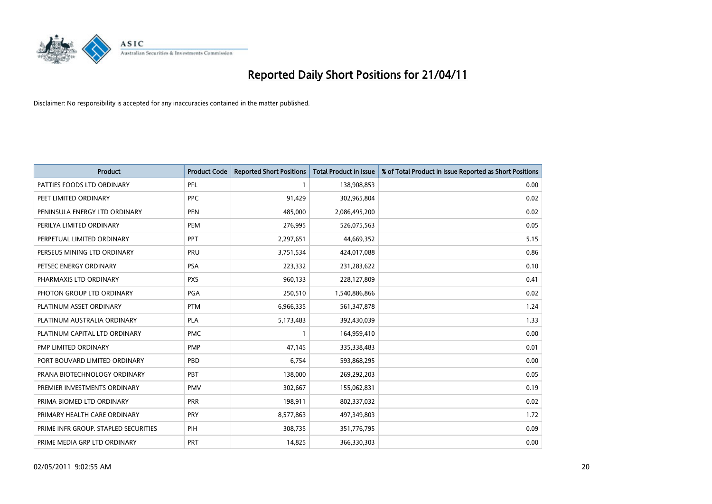

| <b>Product</b>                       | <b>Product Code</b> | <b>Reported Short Positions</b> | Total Product in Issue | % of Total Product in Issue Reported as Short Positions |
|--------------------------------------|---------------------|---------------------------------|------------------------|---------------------------------------------------------|
| PATTIES FOODS LTD ORDINARY           | PFL                 |                                 | 138,908,853            | 0.00                                                    |
| PEET LIMITED ORDINARY                | <b>PPC</b>          | 91,429                          | 302,965,804            | 0.02                                                    |
| PENINSULA ENERGY LTD ORDINARY        | <b>PEN</b>          | 485,000                         | 2,086,495,200          | 0.02                                                    |
| PERILYA LIMITED ORDINARY             | PEM                 | 276,995                         | 526,075,563            | 0.05                                                    |
| PERPETUAL LIMITED ORDINARY           | <b>PPT</b>          | 2,297,651                       | 44,669,352             | 5.15                                                    |
| PERSEUS MINING LTD ORDINARY          | PRU                 | 3,751,534                       | 424,017,088            | 0.86                                                    |
| PETSEC ENERGY ORDINARY               | <b>PSA</b>          | 223,332                         | 231,283,622            | 0.10                                                    |
| PHARMAXIS LTD ORDINARY               | <b>PXS</b>          | 960,133                         | 228,127,809            | 0.41                                                    |
| PHOTON GROUP LTD ORDINARY            | <b>PGA</b>          | 250,510                         | 1,540,886,866          | 0.02                                                    |
| PLATINUM ASSET ORDINARY              | <b>PTM</b>          | 6,966,335                       | 561,347,878            | 1.24                                                    |
| PLATINUM AUSTRALIA ORDINARY          | <b>PLA</b>          | 5,173,483                       | 392,430,039            | 1.33                                                    |
| PLATINUM CAPITAL LTD ORDINARY        | <b>PMC</b>          |                                 | 164,959,410            | 0.00                                                    |
| PMP LIMITED ORDINARY                 | <b>PMP</b>          | 47,145                          | 335,338,483            | 0.01                                                    |
| PORT BOUVARD LIMITED ORDINARY        | PBD                 | 6,754                           | 593,868,295            | 0.00                                                    |
| PRANA BIOTECHNOLOGY ORDINARY         | <b>PBT</b>          | 138,000                         | 269,292,203            | 0.05                                                    |
| PREMIER INVESTMENTS ORDINARY         | <b>PMV</b>          | 302,667                         | 155,062,831            | 0.19                                                    |
| PRIMA BIOMED LTD ORDINARY            | <b>PRR</b>          | 198,911                         | 802,337,032            | 0.02                                                    |
| PRIMARY HEALTH CARE ORDINARY         | <b>PRY</b>          | 8,577,863                       | 497,349,803            | 1.72                                                    |
| PRIME INFR GROUP. STAPLED SECURITIES | PIH                 | 308,735                         | 351,776,795            | 0.09                                                    |
| PRIME MEDIA GRP LTD ORDINARY         | PRT                 | 14,825                          | 366,330,303            | 0.00                                                    |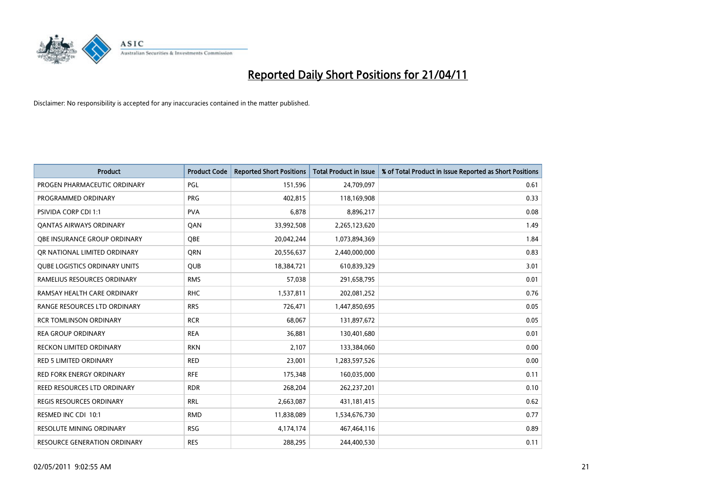

| <b>Product</b>                       | <b>Product Code</b> | <b>Reported Short Positions</b> | Total Product in Issue | % of Total Product in Issue Reported as Short Positions |
|--------------------------------------|---------------------|---------------------------------|------------------------|---------------------------------------------------------|
| PROGEN PHARMACEUTIC ORDINARY         | <b>PGL</b>          | 151,596                         | 24,709,097             | 0.61                                                    |
| PROGRAMMED ORDINARY                  | <b>PRG</b>          | 402,815                         | 118,169,908            | 0.33                                                    |
| <b>PSIVIDA CORP CDI 1:1</b>          | <b>PVA</b>          | 6,878                           | 8,896,217              | 0.08                                                    |
| <b>QANTAS AIRWAYS ORDINARY</b>       | QAN                 | 33,992,508                      | 2,265,123,620          | 1.49                                                    |
| OBE INSURANCE GROUP ORDINARY         | <b>OBE</b>          | 20,042,244                      | 1,073,894,369          | 1.84                                                    |
| OR NATIONAL LIMITED ORDINARY         | <b>ORN</b>          | 20,556,637                      | 2,440,000,000          | 0.83                                                    |
| <b>QUBE LOGISTICS ORDINARY UNITS</b> | <b>OUB</b>          | 18,384,721                      | 610,839,329            | 3.01                                                    |
| RAMELIUS RESOURCES ORDINARY          | <b>RMS</b>          | 57,038                          | 291,658,795            | 0.01                                                    |
| RAMSAY HEALTH CARE ORDINARY          | <b>RHC</b>          | 1,537,811                       | 202,081,252            | 0.76                                                    |
| RANGE RESOURCES LTD ORDINARY         | <b>RRS</b>          | 726,471                         | 1,447,850,695          | 0.05                                                    |
| <b>RCR TOMLINSON ORDINARY</b>        | <b>RCR</b>          | 68,067                          | 131,897,672            | 0.05                                                    |
| <b>REA GROUP ORDINARY</b>            | <b>REA</b>          | 36,881                          | 130,401,680            | 0.01                                                    |
| <b>RECKON LIMITED ORDINARY</b>       | <b>RKN</b>          | 2,107                           | 133,384,060            | 0.00                                                    |
| <b>RED 5 LIMITED ORDINARY</b>        | <b>RED</b>          | 23,001                          | 1,283,597,526          | 0.00                                                    |
| <b>RED FORK ENERGY ORDINARY</b>      | <b>RFE</b>          | 175,348                         | 160,035,000            | 0.11                                                    |
| REED RESOURCES LTD ORDINARY          | <b>RDR</b>          | 268,204                         | 262,237,201            | 0.10                                                    |
| <b>REGIS RESOURCES ORDINARY</b>      | <b>RRL</b>          | 2,663,087                       | 431,181,415            | 0.62                                                    |
| RESMED INC CDI 10:1                  | <b>RMD</b>          | 11,838,089                      | 1,534,676,730          | 0.77                                                    |
| <b>RESOLUTE MINING ORDINARY</b>      | <b>RSG</b>          | 4,174,174                       | 467,464,116            | 0.89                                                    |
| <b>RESOURCE GENERATION ORDINARY</b>  | <b>RES</b>          | 288.295                         | 244,400,530            | 0.11                                                    |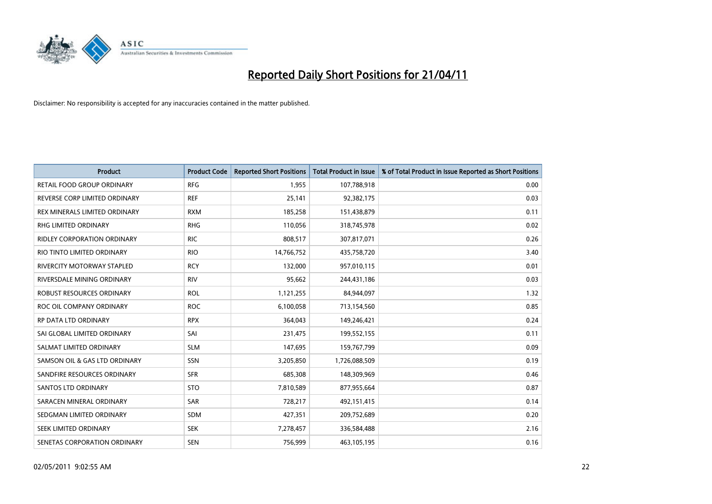

| <b>Product</b>                | <b>Product Code</b> | <b>Reported Short Positions</b> | Total Product in Issue | % of Total Product in Issue Reported as Short Positions |
|-------------------------------|---------------------|---------------------------------|------------------------|---------------------------------------------------------|
| RETAIL FOOD GROUP ORDINARY    | <b>RFG</b>          | 1,955                           | 107,788,918            | 0.00                                                    |
| REVERSE CORP LIMITED ORDINARY | <b>REF</b>          | 25,141                          | 92,382,175             | 0.03                                                    |
| REX MINERALS LIMITED ORDINARY | <b>RXM</b>          | 185,258                         | 151,438,879            | 0.11                                                    |
| RHG LIMITED ORDINARY          | <b>RHG</b>          | 110,056                         | 318,745,978            | 0.02                                                    |
| RIDLEY CORPORATION ORDINARY   | <b>RIC</b>          | 808,517                         | 307,817,071            | 0.26                                                    |
| RIO TINTO LIMITED ORDINARY    | <b>RIO</b>          | 14,766,752                      | 435,758,720            | 3.40                                                    |
| RIVERCITY MOTORWAY STAPLED    | <b>RCY</b>          | 132,000                         | 957,010,115            | 0.01                                                    |
| RIVERSDALE MINING ORDINARY    | <b>RIV</b>          | 95,662                          | 244,431,186            | 0.03                                                    |
| ROBUST RESOURCES ORDINARY     | <b>ROL</b>          | 1,121,255                       | 84,944,097             | 1.32                                                    |
| ROC OIL COMPANY ORDINARY      | <b>ROC</b>          | 6,100,058                       | 713,154,560            | 0.85                                                    |
| RP DATA LTD ORDINARY          | <b>RPX</b>          | 364,043                         | 149,246,421            | 0.24                                                    |
| SAI GLOBAL LIMITED ORDINARY   | SAI                 | 231,475                         | 199,552,155            | 0.11                                                    |
| SALMAT LIMITED ORDINARY       | <b>SLM</b>          | 147,695                         | 159,767,799            | 0.09                                                    |
| SAMSON OIL & GAS LTD ORDINARY | SSN                 | 3,205,850                       | 1,726,088,509          | 0.19                                                    |
| SANDFIRE RESOURCES ORDINARY   | <b>SFR</b>          | 685,308                         | 148,309,969            | 0.46                                                    |
| <b>SANTOS LTD ORDINARY</b>    | <b>STO</b>          | 7,810,589                       | 877,955,664            | 0.87                                                    |
| SARACEN MINERAL ORDINARY      | SAR                 | 728,217                         | 492,151,415            | 0.14                                                    |
| SEDGMAN LIMITED ORDINARY      | <b>SDM</b>          | 427,351                         | 209,752,689            | 0.20                                                    |
| SEEK LIMITED ORDINARY         | <b>SEK</b>          | 7,278,457                       | 336,584,488            | 2.16                                                    |
| SENETAS CORPORATION ORDINARY  | <b>SEN</b>          | 756,999                         | 463,105,195            | 0.16                                                    |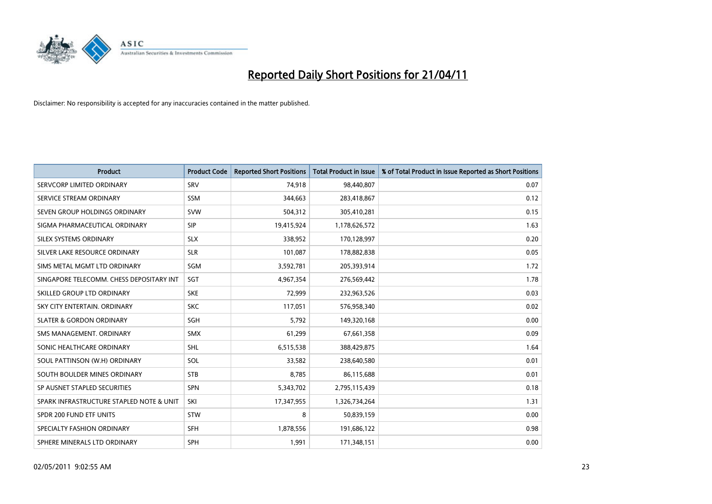

| <b>Product</b>                           | <b>Product Code</b> | <b>Reported Short Positions</b> | <b>Total Product in Issue</b> | % of Total Product in Issue Reported as Short Positions |
|------------------------------------------|---------------------|---------------------------------|-------------------------------|---------------------------------------------------------|
| SERVCORP LIMITED ORDINARY                | SRV                 | 74,918                          | 98,440,807                    | 0.07                                                    |
| SERVICE STREAM ORDINARY                  | <b>SSM</b>          | 344,663                         | 283,418,867                   | 0.12                                                    |
| SEVEN GROUP HOLDINGS ORDINARY            | <b>SVW</b>          | 504,312                         | 305,410,281                   | 0.15                                                    |
| SIGMA PHARMACEUTICAL ORDINARY            | SIP                 | 19,415,924                      | 1,178,626,572                 | 1.63                                                    |
| SILEX SYSTEMS ORDINARY                   | <b>SLX</b>          | 338,952                         | 170,128,997                   | 0.20                                                    |
| SILVER LAKE RESOURCE ORDINARY            | <b>SLR</b>          | 101,087                         | 178,882,838                   | 0.05                                                    |
| SIMS METAL MGMT LTD ORDINARY             | SGM                 | 3,592,781                       | 205,393,914                   | 1.72                                                    |
| SINGAPORE TELECOMM. CHESS DEPOSITARY INT | SGT                 | 4,967,354                       | 276,569,442                   | 1.78                                                    |
| SKILLED GROUP LTD ORDINARY               | <b>SKE</b>          | 72,999                          | 232,963,526                   | 0.03                                                    |
| SKY CITY ENTERTAIN, ORDINARY             | <b>SKC</b>          | 117,051                         | 576,958,340                   | 0.02                                                    |
| <b>SLATER &amp; GORDON ORDINARY</b>      | SGH                 | 5,792                           | 149,320,168                   | 0.00                                                    |
| SMS MANAGEMENT, ORDINARY                 | <b>SMX</b>          | 61,299                          | 67,661,358                    | 0.09                                                    |
| SONIC HEALTHCARE ORDINARY                | <b>SHL</b>          | 6,515,538                       | 388,429,875                   | 1.64                                                    |
| SOUL PATTINSON (W.H) ORDINARY            | SOL                 | 33,582                          | 238,640,580                   | 0.01                                                    |
| SOUTH BOULDER MINES ORDINARY             | <b>STB</b>          | 8,785                           | 86,115,688                    | 0.01                                                    |
| SP AUSNET STAPLED SECURITIES             | SPN                 | 5,343,702                       | 2,795,115,439                 | 0.18                                                    |
| SPARK INFRASTRUCTURE STAPLED NOTE & UNIT | SKI                 | 17,347,955                      | 1,326,734,264                 | 1.31                                                    |
| SPDR 200 FUND ETF UNITS                  | <b>STW</b>          | 8                               | 50,839,159                    | 0.00                                                    |
| SPECIALTY FASHION ORDINARY               | <b>SFH</b>          | 1,878,556                       | 191,686,122                   | 0.98                                                    |
| SPHERE MINERALS LTD ORDINARY             | <b>SPH</b>          | 1,991                           | 171,348,151                   | 0.00                                                    |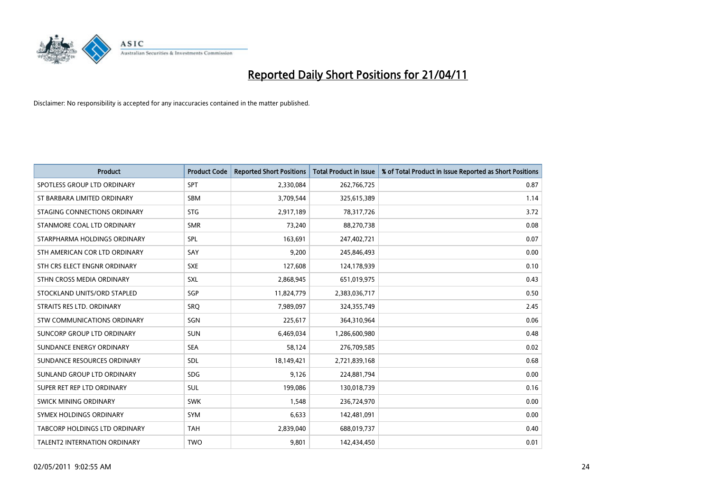

| <b>Product</b>                     | <b>Product Code</b> | <b>Reported Short Positions</b> | <b>Total Product in Issue</b> | % of Total Product in Issue Reported as Short Positions |
|------------------------------------|---------------------|---------------------------------|-------------------------------|---------------------------------------------------------|
| SPOTLESS GROUP LTD ORDINARY        | <b>SPT</b>          | 2,330,084                       | 262,766,725                   | 0.87                                                    |
| ST BARBARA LIMITED ORDINARY        | <b>SBM</b>          | 3,709,544                       | 325,615,389                   | 1.14                                                    |
| STAGING CONNECTIONS ORDINARY       | <b>STG</b>          | 2,917,189                       | 78,317,726                    | 3.72                                                    |
| STANMORE COAL LTD ORDINARY         | <b>SMR</b>          | 73,240                          | 88,270,738                    | 0.08                                                    |
| STARPHARMA HOLDINGS ORDINARY       | <b>SPL</b>          | 163,691                         | 247,402,721                   | 0.07                                                    |
| STH AMERICAN COR LTD ORDINARY      | SAY                 | 9,200                           | 245,846,493                   | 0.00                                                    |
| STH CRS ELECT ENGNR ORDINARY       | <b>SXE</b>          | 127,608                         | 124,178,939                   | 0.10                                                    |
| STHN CROSS MEDIA ORDINARY          | <b>SXL</b>          | 2,868,945                       | 651,019,975                   | 0.43                                                    |
| STOCKLAND UNITS/ORD STAPLED        | <b>SGP</b>          | 11,824,779                      | 2,383,036,717                 | 0.50                                                    |
| STRAITS RES LTD. ORDINARY          | <b>SRO</b>          | 7,989,097                       | 324,355,749                   | 2.45                                                    |
| <b>STW COMMUNICATIONS ORDINARY</b> | SGN                 | 225,617                         | 364,310,964                   | 0.06                                                    |
| SUNCORP GROUP LTD ORDINARY         | <b>SUN</b>          | 6,469,034                       | 1,286,600,980                 | 0.48                                                    |
| SUNDANCE ENERGY ORDINARY           | <b>SEA</b>          | 58,124                          | 276,709,585                   | 0.02                                                    |
| SUNDANCE RESOURCES ORDINARY        | SDL                 | 18,149,421                      | 2,721,839,168                 | 0.68                                                    |
| SUNLAND GROUP LTD ORDINARY         | <b>SDG</b>          | 9,126                           | 224,881,794                   | 0.00                                                    |
| SUPER RET REP LTD ORDINARY         | <b>SUL</b>          | 199,086                         | 130,018,739                   | 0.16                                                    |
| SWICK MINING ORDINARY              | <b>SWK</b>          | 1,548                           | 236,724,970                   | 0.00                                                    |
| SYMEX HOLDINGS ORDINARY            | <b>SYM</b>          | 6,633                           | 142,481,091                   | 0.00                                                    |
| TABCORP HOLDINGS LTD ORDINARY      | <b>TAH</b>          | 2,839,040                       | 688,019,737                   | 0.40                                                    |
| TALENT2 INTERNATION ORDINARY       | <b>TWO</b>          | 9,801                           | 142,434,450                   | 0.01                                                    |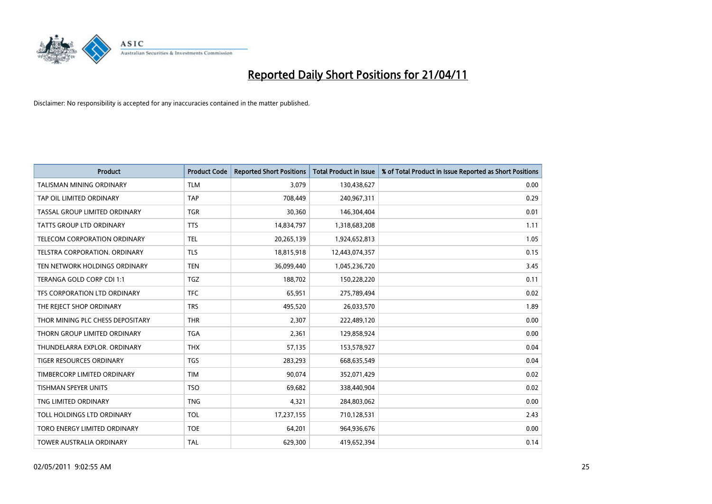

| <b>Product</b>                       | <b>Product Code</b> | <b>Reported Short Positions</b> | <b>Total Product in Issue</b> | % of Total Product in Issue Reported as Short Positions |
|--------------------------------------|---------------------|---------------------------------|-------------------------------|---------------------------------------------------------|
| <b>TALISMAN MINING ORDINARY</b>      | <b>TLM</b>          | 3.079                           | 130,438,627                   | 0.00                                                    |
| TAP OIL LIMITED ORDINARY             | <b>TAP</b>          | 708,449                         | 240,967,311                   | 0.29                                                    |
| TASSAL GROUP LIMITED ORDINARY        | <b>TGR</b>          | 30,360                          | 146,304,404                   | 0.01                                                    |
| TATTS GROUP LTD ORDINARY             | <b>TTS</b>          | 14,834,797                      | 1,318,683,208                 | 1.11                                                    |
| <b>TELECOM CORPORATION ORDINARY</b>  | <b>TEL</b>          | 20,265,139                      | 1,924,652,813                 | 1.05                                                    |
| <b>TELSTRA CORPORATION, ORDINARY</b> | <b>TLS</b>          | 18,815,918                      | 12,443,074,357                | 0.15                                                    |
| TEN NETWORK HOLDINGS ORDINARY        | <b>TEN</b>          | 36,099,440                      | 1,045,236,720                 | 3.45                                                    |
| TERANGA GOLD CORP CDI 1:1            | <b>TGZ</b>          | 188.702                         | 150,228,220                   | 0.11                                                    |
| TFS CORPORATION LTD ORDINARY         | <b>TFC</b>          | 65,951                          | 275,789,494                   | 0.02                                                    |
| THE REJECT SHOP ORDINARY             | <b>TRS</b>          | 495,520                         | 26,033,570                    | 1.89                                                    |
| THOR MINING PLC CHESS DEPOSITARY     | <b>THR</b>          | 2,307                           | 222,489,120                   | 0.00                                                    |
| THORN GROUP LIMITED ORDINARY         | <b>TGA</b>          | 2,361                           | 129,858,924                   | 0.00                                                    |
| THUNDELARRA EXPLOR, ORDINARY         | <b>THX</b>          | 57,135                          | 153,578,927                   | 0.04                                                    |
| <b>TIGER RESOURCES ORDINARY</b>      | <b>TGS</b>          | 283,293                         | 668,635,549                   | 0.04                                                    |
| TIMBERCORP LIMITED ORDINARY          | <b>TIM</b>          | 90.074                          | 352,071,429                   | 0.02                                                    |
| <b>TISHMAN SPEYER UNITS</b>          | <b>TSO</b>          | 69,682                          | 338,440,904                   | 0.02                                                    |
| TNG LIMITED ORDINARY                 | <b>TNG</b>          | 4,321                           | 284,803,062                   | 0.00                                                    |
| TOLL HOLDINGS LTD ORDINARY           | <b>TOL</b>          | 17,237,155                      | 710,128,531                   | 2.43                                                    |
| TORO ENERGY LIMITED ORDINARY         | <b>TOE</b>          | 64,201                          | 964,936,676                   | 0.00                                                    |
| TOWER AUSTRALIA ORDINARY             | TAL                 | 629,300                         | 419,652,394                   | 0.14                                                    |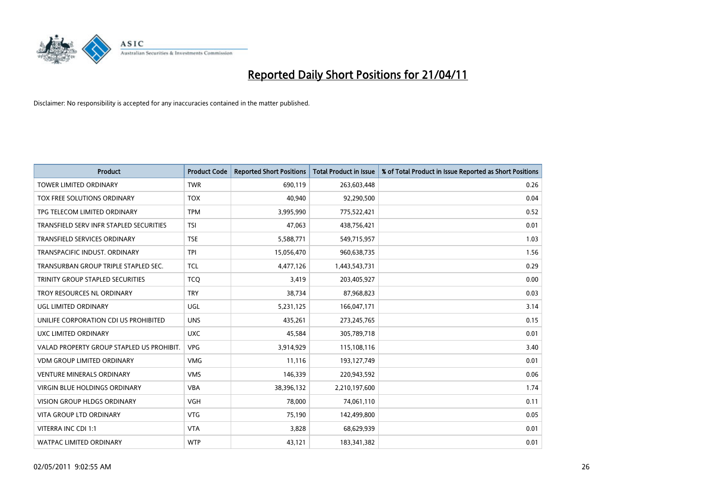

| <b>Product</b>                            | <b>Product Code</b> | <b>Reported Short Positions</b> | Total Product in Issue | % of Total Product in Issue Reported as Short Positions |
|-------------------------------------------|---------------------|---------------------------------|------------------------|---------------------------------------------------------|
| <b>TOWER LIMITED ORDINARY</b>             | <b>TWR</b>          | 690,119                         | 263,603,448            | 0.26                                                    |
| TOX FREE SOLUTIONS ORDINARY               | <b>TOX</b>          | 40,940                          | 92,290,500             | 0.04                                                    |
| TPG TELECOM LIMITED ORDINARY              | <b>TPM</b>          | 3,995,990                       | 775,522,421            | 0.52                                                    |
| TRANSFIELD SERV INFR STAPLED SECURITIES   | <b>TSI</b>          | 47,063                          | 438,756,421            | 0.01                                                    |
| <b>TRANSFIELD SERVICES ORDINARY</b>       | <b>TSE</b>          | 5,588,771                       | 549,715,957            | 1.03                                                    |
| TRANSPACIFIC INDUST, ORDINARY             | <b>TPI</b>          | 15,056,470                      | 960,638,735            | 1.56                                                    |
| TRANSURBAN GROUP TRIPLE STAPLED SEC.      | <b>TCL</b>          | 4,477,126                       | 1,443,543,731          | 0.29                                                    |
| TRINITY GROUP STAPLED SECURITIES          | <b>TCO</b>          | 3,419                           | 203,405,927            | 0.00                                                    |
| TROY RESOURCES NL ORDINARY                | <b>TRY</b>          | 38,734                          | 87,968,823             | 0.03                                                    |
| <b>UGL LIMITED ORDINARY</b>               | <b>UGL</b>          | 5,231,125                       | 166,047,171            | 3.14                                                    |
| UNILIFE CORPORATION CDI US PROHIBITED     | <b>UNS</b>          | 435,261                         | 273,245,765            | 0.15                                                    |
| UXC LIMITED ORDINARY                      | <b>UXC</b>          | 45,584                          | 305,789,718            | 0.01                                                    |
| VALAD PROPERTY GROUP STAPLED US PROHIBIT. | <b>VPG</b>          | 3,914,929                       | 115,108,116            | 3.40                                                    |
| <b>VDM GROUP LIMITED ORDINARY</b>         | <b>VMG</b>          | 11,116                          | 193,127,749            | 0.01                                                    |
| <b>VENTURE MINERALS ORDINARY</b>          | <b>VMS</b>          | 146,339                         | 220,943,592            | 0.06                                                    |
| VIRGIN BLUE HOLDINGS ORDINARY             | <b>VBA</b>          | 38,396,132                      | 2,210,197,600          | 1.74                                                    |
| VISION GROUP HLDGS ORDINARY               | <b>VGH</b>          | 78,000                          | 74,061,110             | 0.11                                                    |
| <b>VITA GROUP LTD ORDINARY</b>            | <b>VTG</b>          | 75,190                          | 142,499,800            | 0.05                                                    |
| VITERRA INC CDI 1:1                       | <b>VTA</b>          | 3,828                           | 68,629,939             | 0.01                                                    |
| WATPAC LIMITED ORDINARY                   | <b>WTP</b>          | 43,121                          | 183,341,382            | 0.01                                                    |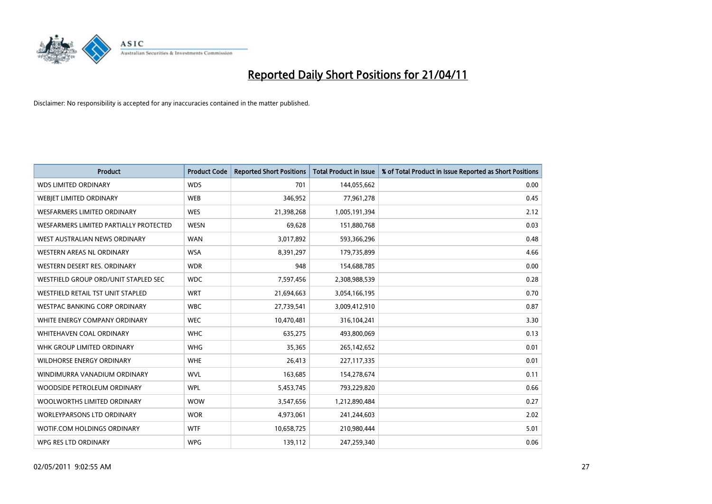

| <b>Product</b>                         | <b>Product Code</b> | <b>Reported Short Positions</b> | <b>Total Product in Issue</b> | % of Total Product in Issue Reported as Short Positions |
|----------------------------------------|---------------------|---------------------------------|-------------------------------|---------------------------------------------------------|
| <b>WDS LIMITED ORDINARY</b>            | <b>WDS</b>          | 701                             | 144,055,662                   | 0.00                                                    |
| WEBJET LIMITED ORDINARY                | <b>WEB</b>          | 346,952                         | 77,961,278                    | 0.45                                                    |
| <b>WESFARMERS LIMITED ORDINARY</b>     | <b>WES</b>          | 21,398,268                      | 1,005,191,394                 | 2.12                                                    |
| WESFARMERS LIMITED PARTIALLY PROTECTED | <b>WESN</b>         | 69,628                          | 151,880,768                   | 0.03                                                    |
| WEST AUSTRALIAN NEWS ORDINARY          | <b>WAN</b>          | 3,017,892                       | 593,366,296                   | 0.48                                                    |
| WESTERN AREAS NL ORDINARY              | <b>WSA</b>          | 8,391,297                       | 179,735,899                   | 4.66                                                    |
| WESTERN DESERT RES. ORDINARY           | <b>WDR</b>          | 948                             | 154,688,785                   | 0.00                                                    |
| WESTFIELD GROUP ORD/UNIT STAPLED SEC   | <b>WDC</b>          | 7,597,456                       | 2,308,988,539                 | 0.28                                                    |
| WESTFIELD RETAIL TST UNIT STAPLED      | <b>WRT</b>          | 21,694,663                      | 3,054,166,195                 | 0.70                                                    |
| <b>WESTPAC BANKING CORP ORDINARY</b>   | <b>WBC</b>          | 27,739,541                      | 3,009,412,910                 | 0.87                                                    |
| WHITE ENERGY COMPANY ORDINARY          | <b>WEC</b>          | 10,470,481                      | 316,104,241                   | 3.30                                                    |
| <b>WHITEHAVEN COAL ORDINARY</b>        | <b>WHC</b>          | 635,275                         | 493,800,069                   | 0.13                                                    |
| WHK GROUP LIMITED ORDINARY             | <b>WHG</b>          | 35,365                          | 265,142,652                   | 0.01                                                    |
| <b>WILDHORSE ENERGY ORDINARY</b>       | <b>WHE</b>          | 26,413                          | 227,117,335                   | 0.01                                                    |
| WINDIMURRA VANADIUM ORDINARY           | <b>WVL</b>          | 163,685                         | 154,278,674                   | 0.11                                                    |
| WOODSIDE PETROLEUM ORDINARY            | <b>WPL</b>          | 5,453,745                       | 793,229,820                   | 0.66                                                    |
| WOOLWORTHS LIMITED ORDINARY            | <b>WOW</b>          | 3,547,656                       | 1,212,890,484                 | 0.27                                                    |
| <b>WORLEYPARSONS LTD ORDINARY</b>      | <b>WOR</b>          | 4,973,061                       | 241,244,603                   | 2.02                                                    |
| WOTIF.COM HOLDINGS ORDINARY            | <b>WTF</b>          | 10,658,725                      | 210,980,444                   | 5.01                                                    |
| WPG RES LTD ORDINARY                   | <b>WPG</b>          | 139,112                         | 247,259,340                   | 0.06                                                    |